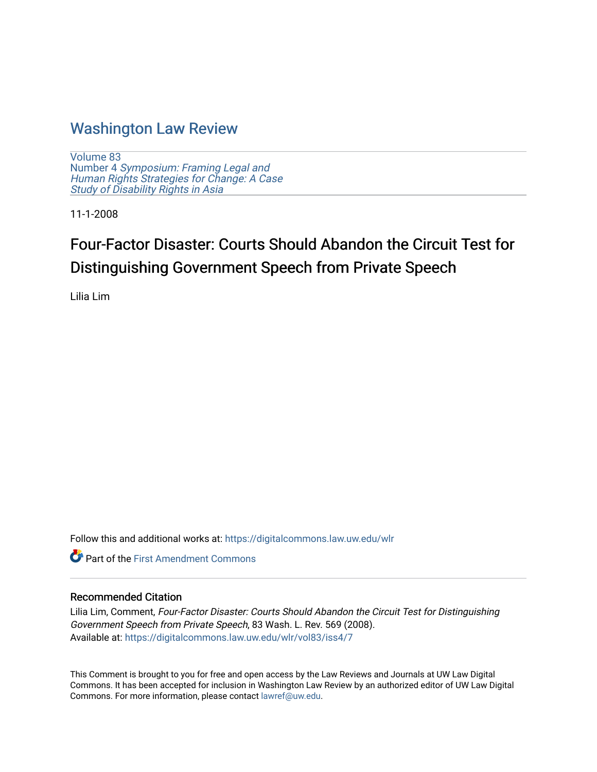# [Washington Law Review](https://digitalcommons.law.uw.edu/wlr)

[Volume 83](https://digitalcommons.law.uw.edu/wlr/vol83) Number 4 [Symposium: Framing Legal and](https://digitalcommons.law.uw.edu/wlr/vol83/iss4) [Human Rights Strategies for Change: A Case](https://digitalcommons.law.uw.edu/wlr/vol83/iss4)  Study of Disability Rights in Asia

11-1-2008

# Four-Factor Disaster: Courts Should Abandon the Circuit Test for Distinguishing Government Speech from Private Speech

Lilia Lim

Follow this and additional works at: [https://digitalcommons.law.uw.edu/wlr](https://digitalcommons.law.uw.edu/wlr?utm_source=digitalcommons.law.uw.edu%2Fwlr%2Fvol83%2Fiss4%2F7&utm_medium=PDF&utm_campaign=PDFCoverPages)

**Part of the First Amendment Commons** 

# Recommended Citation

Lilia Lim, Comment, Four-Factor Disaster: Courts Should Abandon the Circuit Test for Distinguishing Government Speech from Private Speech, 83 Wash. L. Rev. 569 (2008). Available at: [https://digitalcommons.law.uw.edu/wlr/vol83/iss4/7](https://digitalcommons.law.uw.edu/wlr/vol83/iss4/7?utm_source=digitalcommons.law.uw.edu%2Fwlr%2Fvol83%2Fiss4%2F7&utm_medium=PDF&utm_campaign=PDFCoverPages)

This Comment is brought to you for free and open access by the Law Reviews and Journals at UW Law Digital Commons. It has been accepted for inclusion in Washington Law Review by an authorized editor of UW Law Digital Commons. For more information, please contact [lawref@uw.edu](mailto:lawref@uw.edu).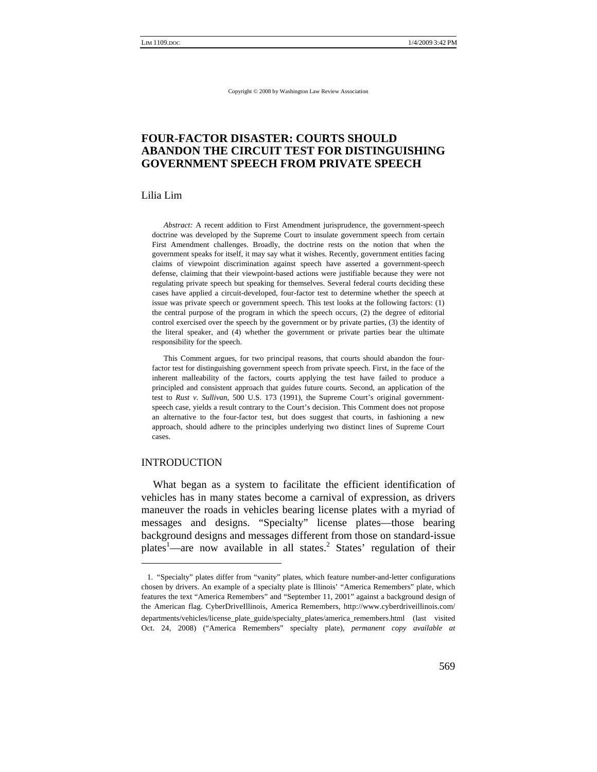# **FOUR-FACTOR DISASTER: COURTS SHOULD ABANDON THE CIRCUIT TEST FOR DISTINGUISHING GOVERNMENT SPEECH FROM PRIVATE SPEECH**

Lilia Lim

*Abstract:* A recent addition to First Amendment jurisprudence, the government-speech doctrine was developed by the Supreme Court to insulate government speech from certain First Amendment challenges. Broadly, the doctrine rests on the notion that when the government speaks for itself, it may say what it wishes. Recently, government entities facing claims of viewpoint discrimination against speech have asserted a government-speech defense, claiming that their viewpoint-based actions were justifiable because they were not regulating private speech but speaking for themselves. Several federal courts deciding these cases have applied a circuit-developed, four-factor test to determine whether the speech at issue was private speech or government speech. This test looks at the following factors: (1) the central purpose of the program in which the speech occurs, (2) the degree of editorial control exercised over the speech by the government or by private parties, (3) the identity of the literal speaker, and (4) whether the government or private parties bear the ultimate responsibility for the speech.

This Comment argues, for two principal reasons, that courts should abandon the fourfactor test for distinguishing government speech from private speech. First, in the face of the inherent malleability of the factors, courts applying the test have failed to produce a principled and consistent approach that guides future courts. Second, an application of the test to *Rust v. Sullivan*, 500 U.S. 173 (1991), the Supreme Court's original governmentspeech case, yields a result contrary to the Court's decision. This Comment does not propose an alternative to the four-factor test, but does suggest that courts, in fashioning a new approach, should adhere to the principles underlying two distinct lines of Supreme Court cases.

#### INTRODUCTION

What began as a system to facilitate the efficient identification of vehicles has in many states become a carnival of expression, as drivers maneuver the roads in vehicles bearing license plates with a myriad of messages and designs. "Specialty" license plates—those bearing background designs and messages different from those on standard-issue plates<sup>1</sup>—are now available in all states.<sup>2</sup> States' regulation of their

<sup>1. &</sup>quot;Specialty" plates differ from "vanity" plates, which feature number-and-letter configurations chosen by drivers. An example of a specialty plate is Illinois' "America Remembers" plate, which features the text "America Remembers" and "September 11, 2001" against a background design of the American flag. CyberDriveIllinois, America Remembers, http://www.cyberdriveillinois.com/ departments/vehicles/license\_plate\_guide/specialty\_plates/america\_remembers.html (last visited Oct. 24, 2008) ("America Remembers" specialty plate), *permanent copy available at*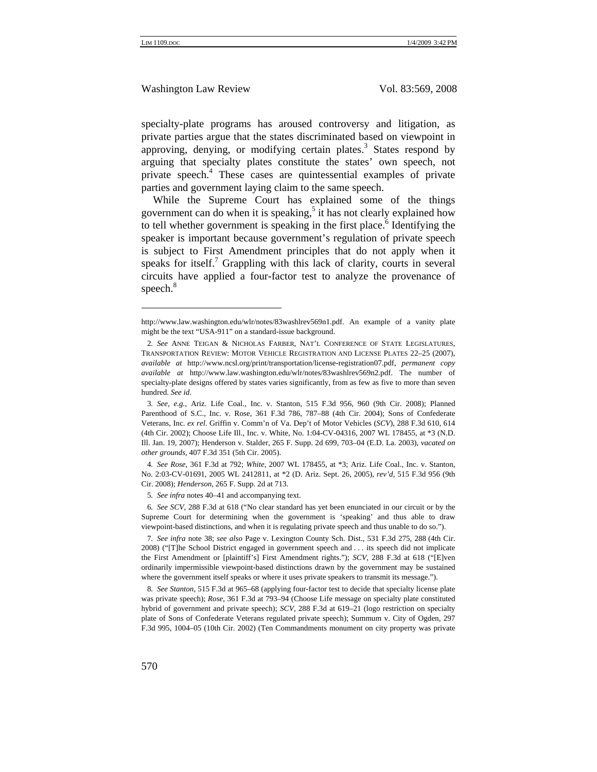specialty-plate programs has aroused controversy and litigation, as private parties argue that the states discriminated based on viewpoint in approving, denying, or modifying certain plates. $3$  States respond by arguing that specialty plates constitute the states' own speech, not private speech.<sup>4</sup> These cases are quintessential examples of private parties and government laying claim to the same speech.

While the Supreme Court has explained some of the things government can do when it is speaking,  $5$  it has not clearly explained how to tell whether government is speaking in the first place.<sup>6</sup> Identifying the speaker is important because government's regulation of private speech is subject to First Amendment principles that do not apply when it speaks for itself.<sup>7</sup> Grappling with this lack of clarity, courts in several circuits have applied a four-factor test to analyze the provenance of speech.<sup>8</sup>

4*. See Rose*, 361 F.3d at 792; *White*, 2007 WL 178455, at \*3; Ariz. Life Coal., Inc. v. Stanton, No. 2:03-CV-01691, 2005 WL 2412811, at \*2 (D. Ariz. Sept. 26, 2005), *rev'd*, 515 F.3d 956 (9th Cir. 2008); *Henderson*, 265 F. Supp. 2d at 713.

6*. See SCV*, 288 F.3d at 618 ("No clear standard has yet been enunciated in our circuit or by the Supreme Court for determining when the government is 'speaking' and thus able to draw viewpoint-based distinctions, and when it is regulating private speech and thus unable to do so.").

8*. See Stanton*, 515 F.3d at 965–68 (applying four-factor test to decide that specialty license plate was private speech); *Rose*, 361 F.3d at 793–94 (Choose Life message on specialty plate constituted hybrid of government and private speech); *SCV*, 288 F.3d at 619–21 (logo restriction on specialty plate of Sons of Confederate Veterans regulated private speech); Summum v. City of Ogden, 297 F.3d 995, 1004–05 (10th Cir. 2002) (Ten Commandments monument on city property was private

http://www.law.washington.edu/wlr/notes/83washlrev569n1.pdf. An example of a vanity plate might be the text "USA-911" on a standard-issue background.

<sup>2</sup>*. See* ANNE TEIGAN & NICHOLAS FARBER, NAT'L CONFERENCE OF STATE LEGISLATURES, TRANSPORTATION REVIEW: MOTOR VEHICLE REGISTRATION AND LICENSE PLATES 22–25 (2007), *available at* http://www.ncsl.org/print/transportation/license-registration07.pdf, *permanent copy available at* http://www.law.washington.edu/wlr/notes/83washlrev569n2.pdf. The number of specialty-plate designs offered by states varies significantly, from as few as five to more than seven hundred. *See id*.

<sup>3</sup>*. See, e.g.*, Ariz. Life Coal., Inc. v. Stanton, 515 F.3d 956, 960 (9th Cir. 2008); Planned Parenthood of S.C., Inc. v. Rose, 361 F.3d 786, 787–88 (4th Cir. 2004); Sons of Confederate Veterans, Inc. *ex rel*. Griffin v. Comm'n of Va. Dep't of Motor Vehicles (*SCV*), 288 F.3d 610, 614 (4th Cir. 2002); Choose Life Ill., Inc. v. White, No. 1:04-CV-04316, 2007 WL 178455, at \*3 (N.D. Ill. Jan. 19, 2007); Henderson v. Stalder, 265 F. Supp. 2d 699, 703–04 (E.D. La. 2003), *vacated on other grounds*, 407 F.3d 351 (5th Cir. 2005).

<sup>5</sup>*. See infra* notes 40–41 and accompanying text.

<sup>7</sup>*. See infra* note 38; *see also* Page v. Lexington County Sch. Dist., 531 F.3d 275, 288 (4th Cir. 2008) ("[T]he School District engaged in government speech and . . . its speech did not implicate the First Amendment or [plaintiff's] First Amendment rights."); *SCV*, 288 F.3d at 618 ("[E]ven ordinarily impermissible viewpoint-based distinctions drawn by the government may be sustained where the government itself speaks or where it uses private speakers to transmit its message.").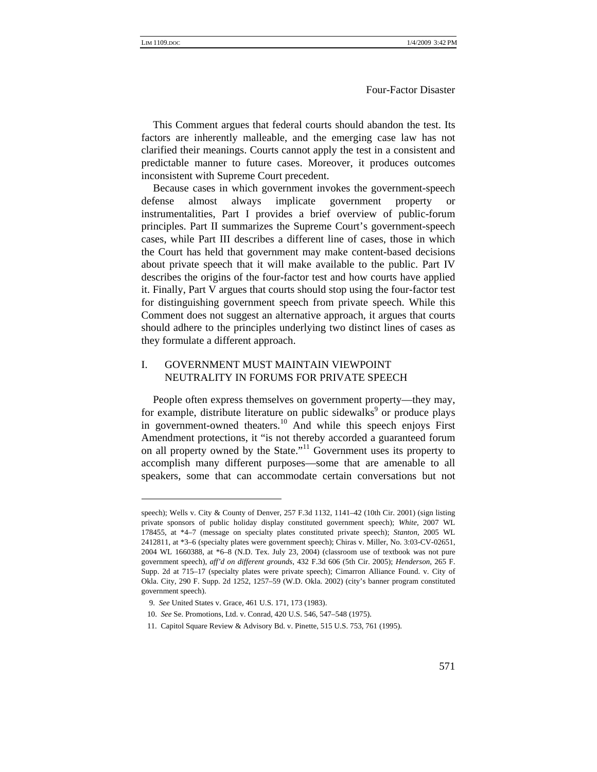This Comment argues that federal courts should abandon the test. Its factors are inherently malleable, and the emerging case law has not clarified their meanings. Courts cannot apply the test in a consistent and predictable manner to future cases. Moreover, it produces outcomes inconsistent with Supreme Court precedent.

Because cases in which government invokes the government-speech defense almost always implicate government property or instrumentalities, Part I provides a brief overview of public-forum principles. Part II summarizes the Supreme Court's government-speech cases, while Part III describes a different line of cases, those in which the Court has held that government may make content-based decisions about private speech that it will make available to the public. Part IV describes the origins of the four-factor test and how courts have applied it. Finally, Part V argues that courts should stop using the four-factor test for distinguishing government speech from private speech. While this Comment does not suggest an alternative approach, it argues that courts should adhere to the principles underlying two distinct lines of cases as they formulate a different approach.

#### I. GOVERNMENT MUST MAINTAIN VIEWPOINT NEUTRALITY IN FORUMS FOR PRIVATE SPEECH

People often express themselves on government property—they may, for example, distribute literature on public sidewalks<sup>9</sup> or produce plays in government-owned theaters.<sup>10</sup> And while this speech enjoys First Amendment protections, it "is not thereby accorded a guaranteed forum on all property owned by the State."11 Government uses its property to accomplish many different purposes—some that are amenable to all speakers, some that can accommodate certain conversations but not

speech); Wells v. City & County of Denver, 257 F.3d 1132, 1141–42 (10th Cir. 2001) (sign listing private sponsors of public holiday display constituted government speech); *White*, 2007 WL 178455, at \*4–7 (message on specialty plates constituted private speech); *Stanton*, 2005 WL 2412811, at \*3–6 (specialty plates were government speech); Chiras v. Miller, No. 3:03-CV-02651, 2004 WL 1660388, at \*6–8 (N.D. Tex. July 23, 2004) (classroom use of textbook was not pure government speech), *aff'd on different grounds*, 432 F.3d 606 (5th Cir. 2005); *Henderson*, 265 F. Supp. 2d at 715–17 (specialty plates were private speech); Cimarron Alliance Found. v. City of Okla. City, 290 F. Supp. 2d 1252, 1257–59 (W.D. Okla. 2002) (city's banner program constituted government speech).

 <sup>9.</sup> *See* United States v. Grace, 461 U.S. 171, 173 (1983).

<sup>10.</sup> *See* Se. Promotions, Ltd. v. Conrad, 420 U.S. 546, 547–548 (1975).

<sup>11.</sup> Capitol Square Review & Advisory Bd. v. Pinette, 515 U.S. 753, 761 (1995).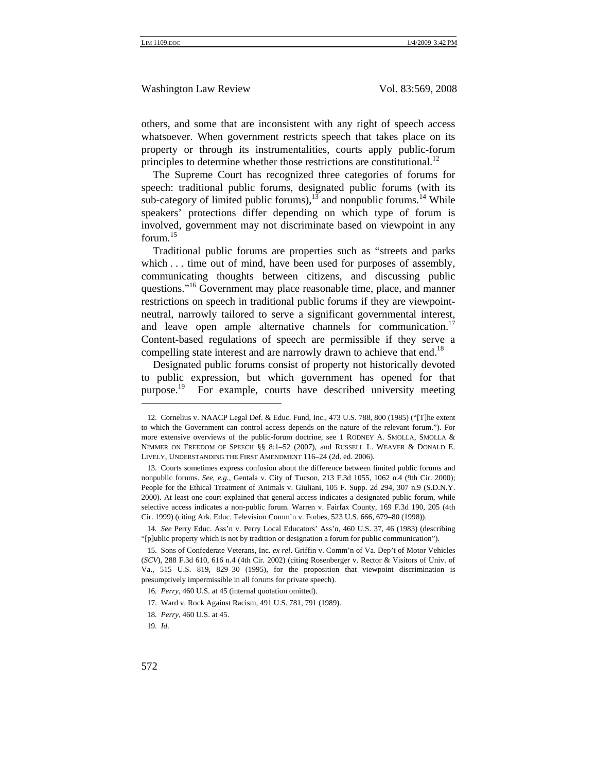others, and some that are inconsistent with any right of speech access whatsoever. When government restricts speech that takes place on its property or through its instrumentalities, courts apply public-forum principles to determine whether those restrictions are constitutional.<sup>12</sup>

The Supreme Court has recognized three categories of forums for speech: traditional public forums, designated public forums (with its sub-category of limited public forums),  $13$  and nonpublic forums.<sup>14</sup> While speakers' protections differ depending on which type of forum is involved, government may not discriminate based on viewpoint in any forum. $15$ 

Traditional public forums are properties such as "streets and parks which . . . time out of mind, have been used for purposes of assembly, communicating thoughts between citizens, and discussing public questions."<sup>16</sup> Government may place reasonable time, place, and manner restrictions on speech in traditional public forums if they are viewpointneutral, narrowly tailored to serve a significant governmental interest, and leave open ample alternative channels for communication.<sup>17</sup> Content-based regulations of speech are permissible if they serve a compelling state interest and are narrowly drawn to achieve that end.<sup>18</sup>

Designated public forums consist of property not historically devoted to public expression, but which government has opened for that purpose.<sup>19</sup> For example, courts have described university meeting

<sup>12.</sup> Cornelius v. NAACP Legal Def. & Educ. Fund, Inc., 473 U.S. 788, 800 (1985) ("[T]he extent to which the Government can control access depends on the nature of the relevant forum."). For more extensive overviews of the public-forum doctrine, see 1 RODNEY A. SMOLLA, SMOLLA & NIMMER ON FREEDOM OF SPEECH §§ 8:1–52 (2007), and RUSSELL L. WEAVER & DONALD E. LIVELY, UNDERSTANDING THE FIRST AMENDMENT 116–24 (2d. ed. 2006).

<sup>13.</sup> Courts sometimes express confusion about the difference between limited public forums and nonpublic forums. *See, e.g.*, Gentala v. City of Tucson, 213 F.3d 1055, 1062 n.4 (9th Cir. 2000); People for the Ethical Treatment of Animals v. Giuliani, 105 F. Supp. 2d 294, 307 n.9 (S.D.N.Y. 2000). At least one court explained that general access indicates a designated public forum, while selective access indicates a non-public forum. Warren v. Fairfax County, 169 F.3d 190, 205 (4th Cir. 1999) (citing Ark. Educ. Television Comm'n v. Forbes, 523 U.S. 666, 679–80 (1998)).

<sup>14</sup>*. See* Perry Educ. Ass'n v. Perry Local Educators' Ass'n, 460 U.S. 37, 46 (1983) (describing "[p]ublic property which is not by tradition or designation a forum for public communication").

<sup>15.</sup> Sons of Confederate Veterans, Inc. *ex rel*. Griffin v. Comm'n of Va. Dep't of Motor Vehicles (*SCV*), 288 F.3d 610, 616 n.4 (4th Cir. 2002) (citing Rosenberger v. Rector & Visitors of Univ. of Va., 515 U.S. 819, 829–30 (1995), for the proposition that viewpoint discrimination is presumptively impermissible in all forums for private speech).

<sup>16</sup>*. Perry*, 460 U.S. at 45 (internal quotation omitted).

<sup>17.</sup> Ward v. Rock Against Racism, 491 U.S. 781, 791 (1989).

<sup>18</sup>*. Perry*, 460 U.S. at 45.

<sup>19</sup>*. Id*.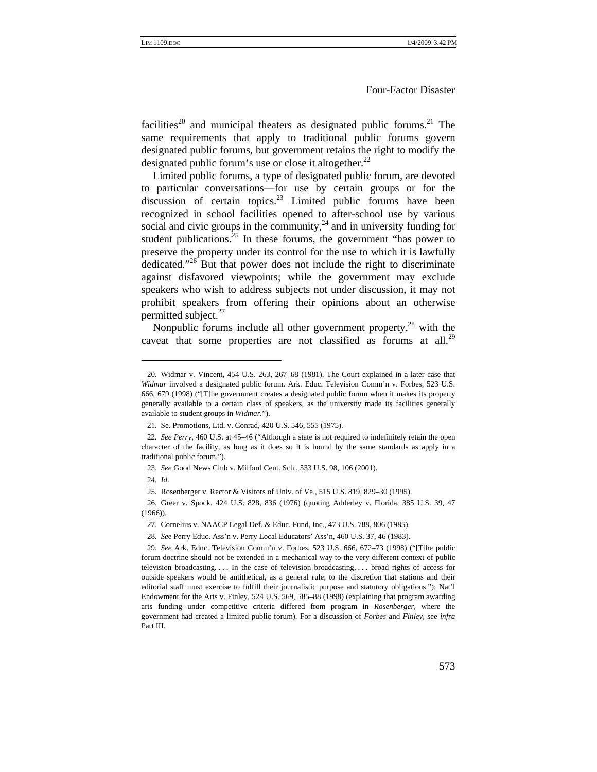facilities<sup>20</sup> and municipal theaters as designated public forums.<sup>21</sup> The same requirements that apply to traditional public forums govern designated public forums, but government retains the right to modify the designated public forum's use or close it altogether.<sup>22</sup>

Limited public forums, a type of designated public forum, are devoted to particular conversations—for use by certain groups or for the discussion of certain topics. $23$  Limited public forums have been recognized in school facilities opened to after-school use by various social and civic groups in the community,  $^{24}$  and in university funding for student publications.<sup>25</sup> In these forums, the government "has power to preserve the property under its control for the use to which it is lawfully dedicated."<sup>26</sup> But that power does not include the right to discriminate against disfavored viewpoints; while the government may exclude speakers who wish to address subjects not under discussion, it may not prohibit speakers from offering their opinions about an otherwise permitted subject. $27$ 

Nonpublic forums include all other government property, $^{28}$  with the caveat that some properties are not classified as forums at all.<sup>29</sup>

<sup>20.</sup> Widmar v. Vincent, 454 U.S. 263, 267–68 (1981). The Court explained in a later case that *Widmar* involved a designated public forum. Ark. Educ. Television Comm'n v. Forbes, 523 U.S. 666, 679 (1998) ("[T]he government creates a designated public forum when it makes its property generally available to a certain class of speakers, as the university made its facilities generally available to student groups in *Widmar.*").

<sup>21.</sup> Se. Promotions, Ltd. v. Conrad, 420 U.S. 546, 555 (1975).

<sup>22</sup>*. See Perry*, 460 U.S. at 45–46 ("Although a state is not required to indefinitely retain the open character of the facility, as long as it does so it is bound by the same standards as apply in a traditional public forum.").

<sup>23</sup>*. See* Good News Club v. Milford Cent. Sch., 533 U.S. 98, 106 (2001).

<sup>24</sup>*. Id*.

<sup>25</sup>*.* Rosenberger v. Rector & Visitors of Univ. of Va., 515 U.S. 819, 829–30 (1995).

<sup>26.</sup> Greer v. Spock, 424 U.S. 828, 836 (1976) (quoting Adderley v. Florida, 385 U.S. 39, 47 (1966)).

<sup>27.</sup> Cornelius v. NAACP Legal Def. & Educ. Fund, Inc., 473 U.S. 788, 806 (1985).

<sup>28</sup>*. See* Perry Educ. Ass'n v. Perry Local Educators' Ass'n, 460 U.S. 37, 46 (1983).

<sup>29</sup>*. See* Ark. Educ. Television Comm'n v. Forbes, 523 U.S. 666, 672–73 (1998) ("[T]he public forum doctrine should not be extended in a mechanical way to the very different context of public television broadcasting. . . . In the case of television broadcasting, . . . broad rights of access for outside speakers would be antithetical, as a general rule, to the discretion that stations and their editorial staff must exercise to fulfill their journalistic purpose and statutory obligations."); Nat'l Endowment for the Arts v. Finley, 524 U.S. 569, 585–88 (1998) (explaining that program awarding arts funding under competitive criteria differed from program in *Rosenberger*, where the government had created a limited public forum). For a discussion of *Forbes* and *Finley*, see *infra* Part III.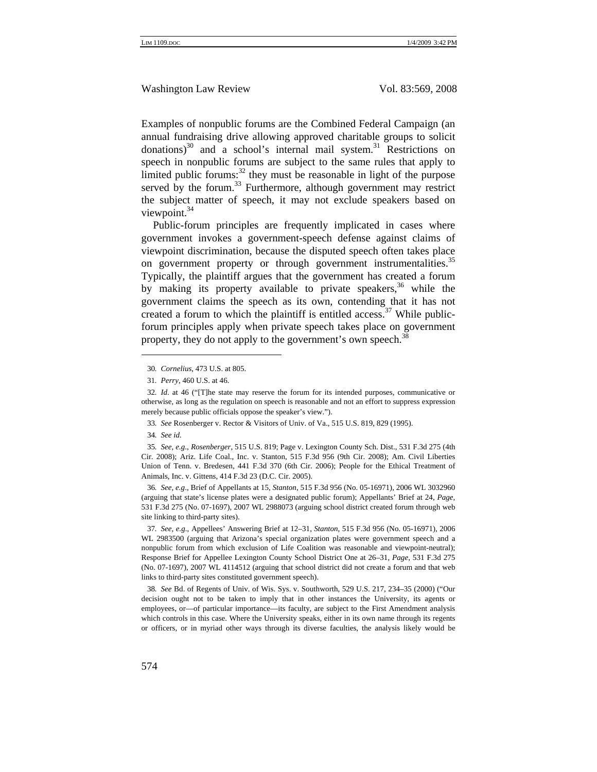Examples of nonpublic forums are the Combined Federal Campaign (an annual fundraising drive allowing approved charitable groups to solicit donations) $30$  and a school's internal mail system. $31$  Restrictions on speech in nonpublic forums are subject to the same rules that apply to limited public forums: $32$  they must be reasonable in light of the purpose served by the forum.<sup>33</sup> Furthermore, although government may restrict the subject matter of speech, it may not exclude speakers based on viewpoint.<sup>34</sup>

Public-forum principles are frequently implicated in cases where government invokes a government-speech defense against claims of viewpoint discrimination, because the disputed speech often takes place on government property or through government instrumentalities.<sup>35</sup> Typically, the plaintiff argues that the government has created a forum by making its property available to private speakers,  $36$  while the government claims the speech as its own, contending that it has not created a forum to which the plaintiff is entitled access.<sup>37</sup> While publicforum principles apply when private speech takes place on government property, they do not apply to the government's own speech.<sup>38</sup>

34*. See id*.

35*. See, e.g*., *Rosenberger*, 515 U.S. 819; Page v. Lexington County Sch. Dist., 531 F.3d 275 (4th Cir. 2008); Ariz. Life Coal., Inc. v. Stanton, 515 F.3d 956 (9th Cir. 2008); Am. Civil Liberties Union of Tenn. v. Bredesen, 441 F.3d 370 (6th Cir. 2006); People for the Ethical Treatment of Animals, Inc. v. Gittens, 414 F.3d 23 (D.C. Cir. 2005).

36*. See, e.g*., Brief of Appellants at 15, *Stanton*, 515 F.3d 956 (No. 05-16971), 2006 WL 3032960 (arguing that state's license plates were a designated public forum); Appellants' Brief at 24, *Page*, 531 F.3d 275 (No. 07-1697), 2007 WL 2988073 (arguing school district created forum through web site linking to third-party sites).

37*. See, e.g.*, Appellees' Answering Brief at 12–31, *Stanton*, 515 F.3d 956 (No. 05-16971), 2006 WL 2983500 (arguing that Arizona's special organization plates were government speech and a nonpublic forum from which exclusion of Life Coalition was reasonable and viewpoint-neutral); Response Brief for Appellee Lexington County School District One at 26–31, *Page*, 531 F.3d 275 (No. 07-1697), 2007 WL 4114512 (arguing that school district did not create a forum and that web links to third-party sites constituted government speech).

38*. See* Bd. of Regents of Univ. of Wis. Sys. v. Southworth, 529 U.S. 217, 234–35 (2000) ("Our decision ought not to be taken to imply that in other instances the University, its agents or employees, or—of particular importance—its faculty, are subject to the First Amendment analysis which controls in this case. Where the University speaks, either in its own name through its regents or officers, or in myriad other ways through its diverse faculties, the analysis likely would be

<sup>30</sup>*. Cornelius*, 473 U.S. at 805.

<sup>31</sup>*. Perry*, 460 U.S. at 46.

<sup>32</sup>*. Id*. at 46 ("[T]he state may reserve the forum for its intended purposes, communicative or otherwise, as long as the regulation on speech is reasonable and not an effort to suppress expression merely because public officials oppose the speaker's view.").

<sup>33</sup>*. See* Rosenberger v. Rector & Visitors of Univ. of Va., 515 U.S. 819, 829 (1995).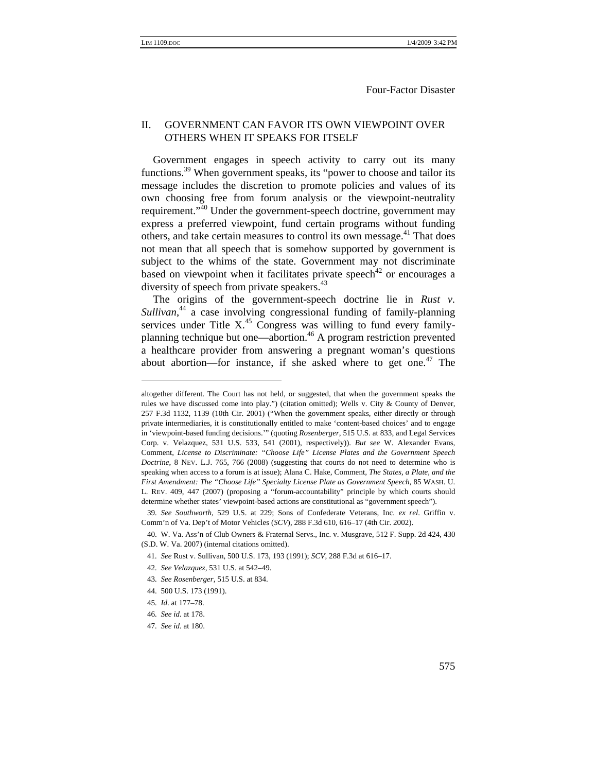#### II. GOVERNMENT CAN FAVOR ITS OWN VIEWPOINT OVER OTHERS WHEN IT SPEAKS FOR ITSELF

Government engages in speech activity to carry out its many functions.<sup>39</sup> When government speaks, its "power to choose and tailor its message includes the discretion to promote policies and values of its own choosing free from forum analysis or the viewpoint-neutrality requirement."<sup>40</sup> Under the government-speech doctrine, government may express a preferred viewpoint, fund certain programs without funding others, and take certain measures to control its own message.<sup>41</sup> That does not mean that all speech that is somehow supported by government is subject to the whims of the state. Government may not discriminate based on viewpoint when it facilitates private speech<sup>42</sup> or encourages a diversity of speech from private speakers.<sup>43</sup>

The origins of the government-speech doctrine lie in *Rust v*. *Sullivan*, 44 a case involving congressional funding of family-planning services under Title  $X<sup>45</sup>$  Congress was willing to fund every familyplanning technique but one—abortion.<sup>46</sup> A program restriction prevented a healthcare provider from answering a pregnant woman's questions about abortion—for instance, if she asked where to get one.<sup>47</sup> The

- 43*. See Rosenberger*, 515 U.S. at 834.
- 44. 500 U.S. 173 (1991).
- 45*. Id*. at 177–78.

47*. See id*. at 180.

altogether different. The Court has not held, or suggested, that when the government speaks the rules we have discussed come into play.") (citation omitted); Wells v. City & County of Denver, 257 F.3d 1132, 1139 (10th Cir. 2001) ("When the government speaks, either directly or through private intermediaries, it is constitutionally entitled to make 'content-based choices' and to engage in 'viewpoint-based funding decisions.'" (quoting *Rosenberger*, 515 U.S. at 833, and Legal Services Corp. v. Velazquez, 531 U.S. 533, 541 (2001), respectively)). *But see* W. Alexander Evans, Comment, *License to Discriminate: "Choose Life" License Plates and the Government Speech Doctrine*, 8 NEV. L.J. 765, 766 (2008) (suggesting that courts do not need to determine who is speaking when access to a forum is at issue); Alana C. Hake, Comment, *The States, a Plate, and the First Amendment: The "Choose Life" Specialty License Plate as Government Speech*, 85 WASH. U. L. REV. 409, 447 (2007) (proposing a "forum-accountability" principle by which courts should determine whether states' viewpoint-based actions are constitutional as "government speech").

<sup>39</sup>*. See Southworth*, 529 U.S. at 229; Sons of Confederate Veterans, Inc. *ex rel*. Griffin v. Comm'n of Va. Dep't of Motor Vehicles (*SCV*), 288 F.3d 610, 616–17 (4th Cir. 2002).

<sup>40.</sup> W. Va. Ass'n of Club Owners & Fraternal Servs., Inc. v. Musgrave, 512 F. Supp. 2d 424, 430 (S.D. W. Va. 2007) (internal citations omitted).

<sup>41</sup>*. See* Rust v. Sullivan, 500 U.S. 173, 193 (1991); *SCV*, 288 F.3d at 616–17.

<sup>42</sup>*. See Velazquez*, 531 U.S. at 542–49.

<sup>46</sup>*. See id*. at 178.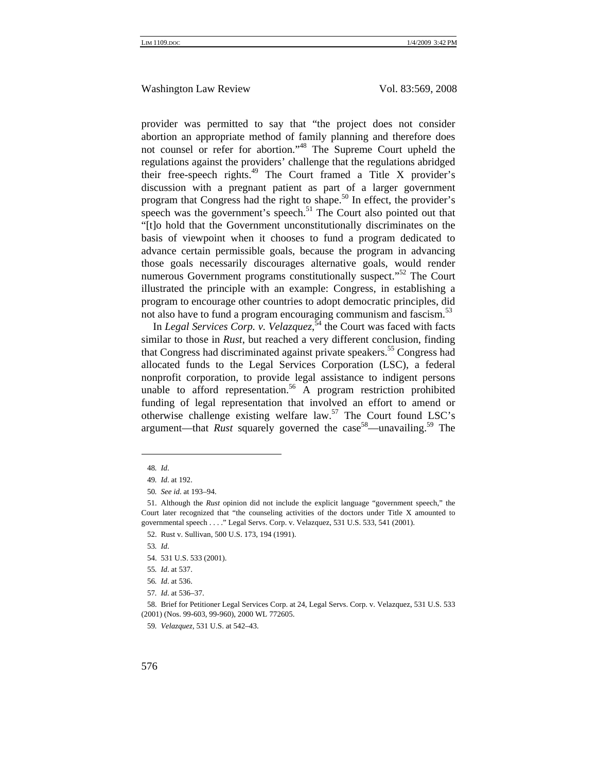provider was permitted to say that "the project does not consider abortion an appropriate method of family planning and therefore does not counsel or refer for abortion."48 The Supreme Court upheld the regulations against the providers' challenge that the regulations abridged their free-speech rights.49 The Court framed a Title X provider's discussion with a pregnant patient as part of a larger government program that Congress had the right to shape.<sup>50</sup> In effect, the provider's speech was the government's speech.<sup>51</sup> The Court also pointed out that "[t]o hold that the Government unconstitutionally discriminates on the basis of viewpoint when it chooses to fund a program dedicated to advance certain permissible goals, because the program in advancing those goals necessarily discourages alternative goals, would render numerous Government programs constitutionally suspect."<sup>52</sup> The Court illustrated the principle with an example: Congress, in establishing a program to encourage other countries to adopt democratic principles, did not also have to fund a program encouraging communism and fascism.<sup>53</sup>

In *Legal Services Corp. v. Velazquez*, 54 the Court was faced with facts similar to those in *Rust*, but reached a very different conclusion, finding that Congress had discriminated against private speakers.<sup>55</sup> Congress had allocated funds to the Legal Services Corporation (LSC), a federal nonprofit corporation, to provide legal assistance to indigent persons unable to afford representation.<sup>56</sup> A program restriction prohibited funding of legal representation that involved an effort to amend or otherwise challenge existing welfare law.<sup>57</sup> The Court found LSC's argument—that *Rust* squarely governed the case<sup>58</sup>—unavailing.<sup>59</sup> The

57*. Id*. at 536–37.

<sup>48</sup>*. Id*.

<sup>49</sup>*. Id*. at 192.

<sup>50</sup>*. See id*. at 193–94.

<sup>51.</sup> Although the *Rust* opinion did not include the explicit language "government speech," the Court later recognized that "the counseling activities of the doctors under Title X amounted to governmental speech . . . ." Legal Servs. Corp. v. Velazquez, 531 U.S. 533, 541 (2001).

<sup>52.</sup> Rust v. Sullivan, 500 U.S. 173, 194 (1991).

<sup>53</sup>*. Id*.

<sup>54. 531</sup> U.S. 533 (2001).

<sup>55</sup>*. Id*. at 537.

<sup>56</sup>*. Id*. at 536.

<sup>58.</sup> Brief for Petitioner Legal Services Corp. at 24, Legal Servs. Corp. v. Velazquez, 531 U.S. 533 (2001) (Nos. 99-603, 99-960), 2000 WL 772605.

<sup>59</sup>*. Velazquez,* 531 U.S. at 542–43.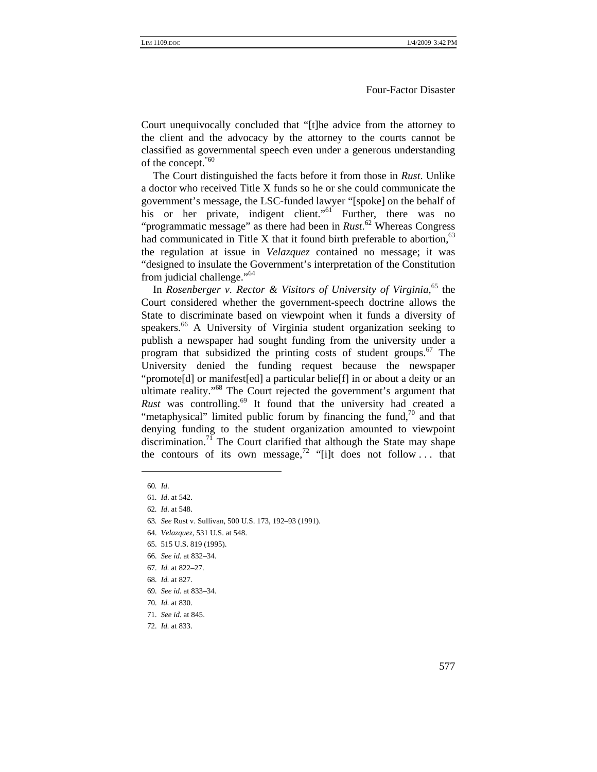Court unequivocally concluded that "[t]he advice from the attorney to the client and the advocacy by the attorney to the courts cannot be classified as governmental speech even under a generous understanding of the concept.<sup>"60</sup>

The Court distinguished the facts before it from those in *Rust*. Unlike a doctor who received Title X funds so he or she could communicate the government's message, the LSC-funded lawyer "[spoke] on the behalf of his or her private, indigent client." Further, there was no "programmatic message" as there had been in *Rust*. 62 Whereas Congress had communicated in Title X that it found birth preferable to abortion.<sup>63</sup> the regulation at issue in *Velazquez* contained no message; it was "designed to insulate the Government's interpretation of the Constitution from judicial challenge."<sup>64</sup>

In *Rosenberger v. Rector & Visitors of University of Virginia*,<sup>65</sup> the Court considered whether the government-speech doctrine allows the State to discriminate based on viewpoint when it funds a diversity of speakers.<sup>66</sup> A University of Virginia student organization seeking to publish a newspaper had sought funding from the university under a program that subsidized the printing costs of student groups.<sup>67</sup> The University denied the funding request because the newspaper "promote[d] or manifest[ed] a particular belie[f] in or about a deity or an ultimate reality."<sup>68</sup> The Court rejected the government's argument that *Rust* was controlling.69 It found that the university had created a "metaphysical" limited public forum by financing the fund, $\frac{70}{10}$  and that denying funding to the student organization amounted to viewpoint discrimination.<sup>71</sup> The Court clarified that although the State may shape the contours of its own message,<sup>72</sup> "[i]t does not follow ... that

<sup>60</sup>*. Id*.

<sup>61</sup>*. Id*. at 542.

<sup>62</sup>*. Id*. at 548.

<sup>63</sup>*. See* Rust v. Sullivan, 500 U.S. 173, 192–93 (1991).

<sup>64</sup>*. Velazquez,* 531 U.S. at 548.

<sup>65. 515</sup> U.S. 819 (1995).

<sup>66</sup>*. See id.* at 832–34.

<sup>67</sup>*. Id.* at 822–27.

<sup>68</sup>*. Id.* at 827.

<sup>69</sup>*. See id.* at 833–34.

<sup>70</sup>*. Id.* at 830.

<sup>71</sup>*. See id.* at 845.

<sup>72</sup>*. Id.* at 833.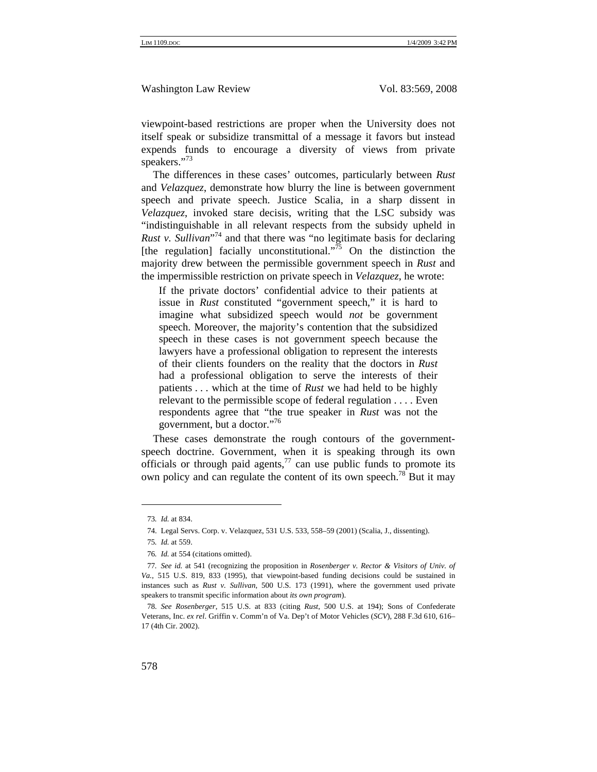viewpoint-based restrictions are proper when the University does not itself speak or subsidize transmittal of a message it favors but instead expends funds to encourage a diversity of views from private speakers."<sup>73</sup>

The differences in these cases' outcomes, particularly between *Rust* and *Velazquez*, demonstrate how blurry the line is between government speech and private speech. Justice Scalia, in a sharp dissent in *Velazquez*, invoked stare decisis, writing that the LSC subsidy was "indistinguishable in all relevant respects from the subsidy upheld in *Rust v. Sullivan*<sup>74</sup> and that there was "no legitimate basis for declaring [the regulation] facially unconstitutional.<sup> $75$ </sup> On the distinction the majority drew between the permissible government speech in *Rust* and the impermissible restriction on private speech in *Velazquez*, he wrote:

If the private doctors' confidential advice to their patients at issue in *Rust* constituted "government speech," it is hard to imagine what subsidized speech would *not* be government speech. Moreover, the majority's contention that the subsidized speech in these cases is not government speech because the lawyers have a professional obligation to represent the interests of their clients founders on the reality that the doctors in *Rust* had a professional obligation to serve the interests of their patients . . . which at the time of *Rust* we had held to be highly relevant to the permissible scope of federal regulation . . . . Even respondents agree that "the true speaker in *Rust* was not the government, but a doctor."<sup>76</sup>

These cases demonstrate the rough contours of the governmentspeech doctrine. Government, when it is speaking through its own officials or through paid agents, $^{77}$  can use public funds to promote its own policy and can regulate the content of its own speech.<sup>78</sup> But it may

<sup>73</sup>*. Id.* at 834.

<sup>74.</sup> Legal Servs. Corp. v. Velazquez, 531 U.S. 533, 558–59 (2001) (Scalia, J., dissenting).

<sup>75</sup>*. Id.* at 559.

<sup>76</sup>*. Id.* at 554 (citations omitted).

<sup>77</sup>*. See id.* at 541 (recognizing the proposition in *Rosenberger v. Rector & Visitors of Univ. of Va.*, 515 U.S. 819, 833 (1995), that viewpoint-based funding decisions could be sustained in instances such as *Rust v. Sullivan*, 500 U.S. 173 (1991), where the government used private speakers to transmit specific information about *its own program*).

<sup>78</sup>*. See Rosenberger*, 515 U.S. at 833 (citing *Rust*, 500 U.S. at 194); Sons of Confederate Veterans, Inc. *ex rel*. Griffin v. Comm'n of Va. Dep't of Motor Vehicles (*SCV*), 288 F.3d 610, 616– 17 (4th Cir. 2002).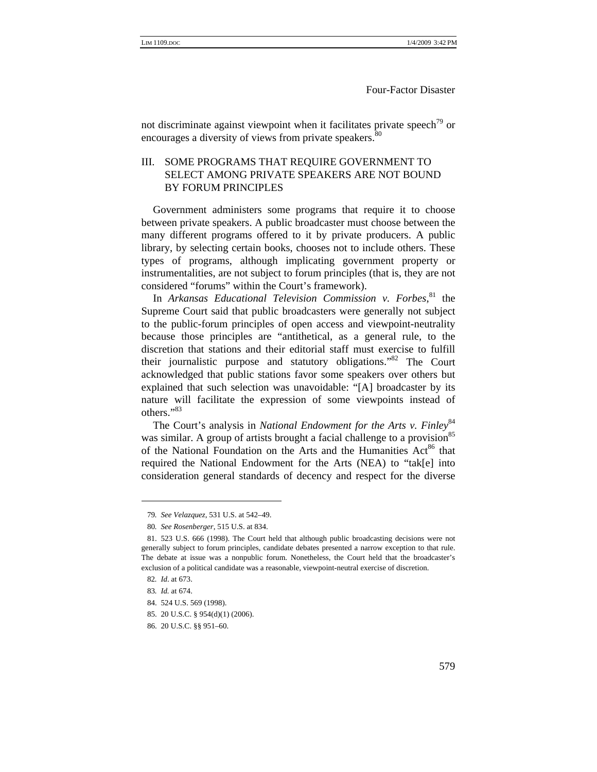not discriminate against viewpoint when it facilitates private speech<sup>79</sup> or encourages a diversity of views from private speakers.<sup>80</sup>

# III. SOME PROGRAMS THAT REQUIRE GOVERNMENT TO SELECT AMONG PRIVATE SPEAKERS ARE NOT BOUND BY FORUM PRINCIPLES

Government administers some programs that require it to choose between private speakers. A public broadcaster must choose between the many different programs offered to it by private producers. A public library, by selecting certain books, chooses not to include others. These types of programs, although implicating government property or instrumentalities, are not subject to forum principles (that is, they are not considered "forums" within the Court's framework).

In *Arkansas Educational Television Commission v. Forbes*, 81 the Supreme Court said that public broadcasters were generally not subject to the public-forum principles of open access and viewpoint-neutrality because those principles are "antithetical, as a general rule, to the discretion that stations and their editorial staff must exercise to fulfill their journalistic purpose and statutory obligations."82 The Court acknowledged that public stations favor some speakers over others but explained that such selection was unavoidable: "[A] broadcaster by its nature will facilitate the expression of some viewpoints instead of others."83

The Court's analysis in *National Endowment for the Arts v. Finley*<sup>84</sup> was similar. A group of artists brought a facial challenge to a provision<sup>85</sup> of the National Foundation on the Arts and the Humanities Act<sup>86</sup> that required the National Endowment for the Arts (NEA) to "tak[e] into consideration general standards of decency and respect for the diverse

<sup>79</sup>*. See Velazquez*, 531 U.S. at 542–49.

<sup>80</sup>*. See Rosenberger*, 515 U.S. at 834.

<sup>81. 523</sup> U.S. 666 (1998). The Court held that although public broadcasting decisions were not generally subject to forum principles, candidate debates presented a narrow exception to that rule. The debate at issue was a nonpublic forum. Nonetheless, the Court held that the broadcaster's exclusion of a political candidate was a reasonable, viewpoint-neutral exercise of discretion.

<sup>82</sup>*. Id*. at 673.

<sup>83</sup>*. Id.* at 674.

<sup>84. 524</sup> U.S. 569 (1998).

<sup>85. 20</sup> U.S.C. § 954(d)(1) (2006).

<sup>86. 20</sup> U.S.C. §§ 951–60.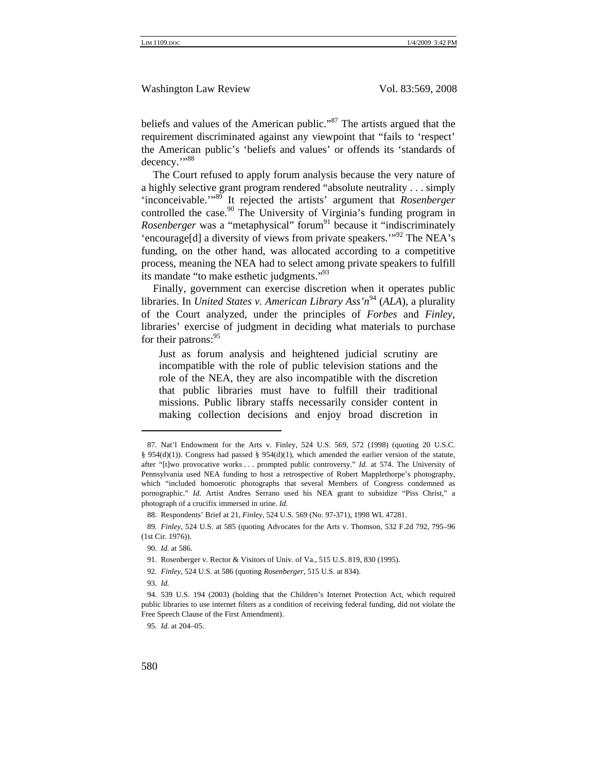beliefs and values of the American public."<sup>87</sup> The artists argued that the requirement discriminated against any viewpoint that "fails to 'respect' the American public's 'beliefs and values' or offends its 'standards of decency."<sup>88</sup>

The Court refused to apply forum analysis because the very nature of a highly selective grant program rendered "absolute neutrality . . . simply 'inconceivable.'"89 It rejected the artists' argument that *Rosenberger* controlled the case.<sup>90</sup> The University of Virginia's funding program in *Rosenberger* was a "metaphysical" forum<sup>91</sup> because it "indiscriminately 'encourage[d] a diversity of views from private speakers.'"92 The NEA's funding, on the other hand, was allocated according to a competitive process, meaning the NEA had to select among private speakers to fulfill its mandate "to make esthetic judgments."<sup>93</sup>

Finally, government can exercise discretion when it operates public libraries. In *United States v. American Library Ass'n*94 (*ALA*), a plurality of the Court analyzed, under the principles of *Forbes* and *Finley*, libraries' exercise of judgment in deciding what materials to purchase for their patrons:<sup>95</sup>

Just as forum analysis and heightened judicial scrutiny are incompatible with the role of public television stations and the role of the NEA, they are also incompatible with the discretion that public libraries must have to fulfill their traditional missions. Public library staffs necessarily consider content in making collection decisions and enjoy broad discretion in

- 92*. Finley*, 524 U.S. at 586 (quoting *Rosenberger*, 515 U.S. at 834).
- 93*. Id.*

95*. Id.* at 204–05.

<sup>87.</sup> Nat'l Endowment for the Arts v. Finley, 524 U.S. 569, 572 (1998) (quoting 20 U.S.C. § 954(d)(1)). Congress had passed § 954(d)(1), which amended the earlier version of the statute, after "[t]wo provocative works . . . prompted public controversy." *Id.* at 574. The University of Pennsylvania used NEA funding to host a retrospective of Robert Mapplethorpe's photography, which "included homoerotic photographs that several Members of Congress condemned as pornographic." *Id.* Artist Andres Serrano used his NEA grant to subsidize "Piss Christ," a photograph of a crucifix immersed in urine. *Id.*

<sup>88.</sup> Respondents' Brief at 21, *Finley*, 524 U.S. 569 (No. 97-371), 1998 WL 47281.

<sup>89</sup>*. Finley*, 524 U.S. at 585 (quoting Advocates for the Arts v. Thomson, 532 F.2d 792, 795–96 (1st Cir. 1976)).

<sup>90</sup>*. Id.* at 586.

<sup>91.</sup> Rosenberger v. Rector & Visitors of Univ. of Va., 515 U.S. 819, 830 (1995).

<sup>94. 539</sup> U.S. 194 (2003) (holding that the Children's Internet Protection Act, which required public libraries to use internet filters as a condition of receiving federal funding, did not violate the Free Speech Clause of the First Amendment).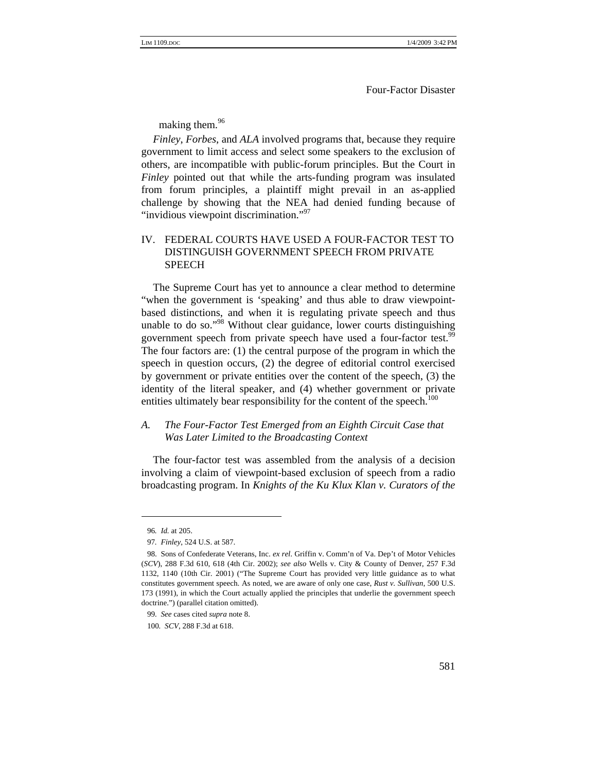making them.<sup>96</sup>

*Finley*, *Forbes*, and *ALA* involved programs that, because they require government to limit access and select some speakers to the exclusion of others, are incompatible with public-forum principles. But the Court in *Finley* pointed out that while the arts-funding program was insulated from forum principles, a plaintiff might prevail in an as-applied challenge by showing that the NEA had denied funding because of "invidious viewpoint discrimination."<sup>97</sup>

# IV. FEDERAL COURTS HAVE USED A FOUR-FACTOR TEST TO DISTINGUISH GOVERNMENT SPEECH FROM PRIVATE SPEECH

The Supreme Court has yet to announce a clear method to determine "when the government is 'speaking' and thus able to draw viewpointbased distinctions, and when it is regulating private speech and thus unable to do so."<sup>98</sup> Without clear guidance, lower courts distinguishing government speech from private speech have used a four-factor test.<sup>99</sup> The four factors are: (1) the central purpose of the program in which the speech in question occurs, (2) the degree of editorial control exercised by government or private entities over the content of the speech, (3) the identity of the literal speaker, and (4) whether government or private entities ultimately bear responsibility for the content of the speech.<sup>100</sup>

#### *A. The Four-Factor Test Emerged from an Eighth Circuit Case that Was Later Limited to the Broadcasting Context*

The four-factor test was assembled from the analysis of a decision involving a claim of viewpoint-based exclusion of speech from a radio broadcasting program. In *Knights of the Ku Klux Klan v. Curators of the* 

<sup>96</sup>*. Id.* at 205.

<sup>97</sup>*. Finley*, 524 U.S. at 587.

<sup>98.</sup> Sons of Confederate Veterans, Inc. *ex rel*. Griffin v. Comm'n of Va. Dep't of Motor Vehicles (*SCV*), 288 F.3d 610, 618 (4th Cir. 2002); *see also* Wells v. City & County of Denver, 257 F.3d 1132, 1140 (10th Cir. 2001) ("The Supreme Court has provided very little guidance as to what constitutes government speech. As noted, we are aware of only one case, *Rust v. Sullivan*, 500 U.S. 173 (1991), in which the Court actually applied the principles that underlie the government speech doctrine.") (parallel citation omitted).

<sup>99</sup>*. See* cases cited *supra* note 8.

<sup>100</sup>*. SCV*, 288 F.3d at 618.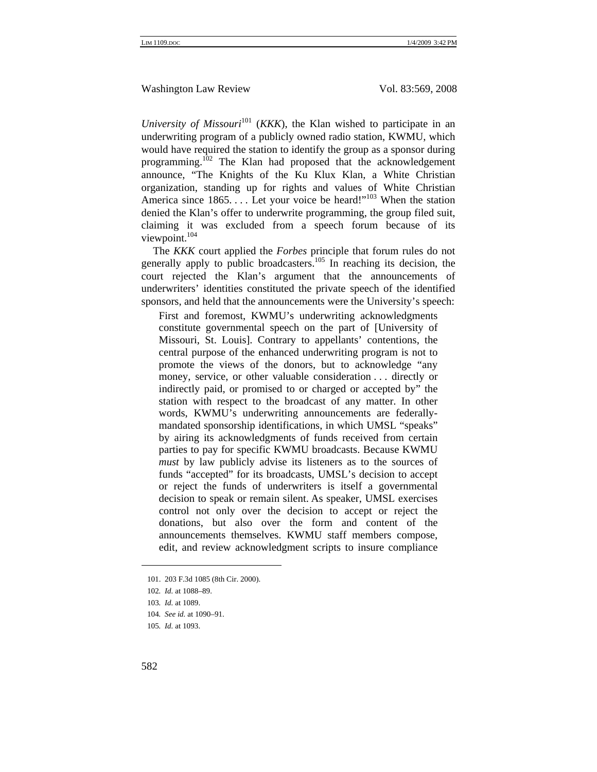*University of Missouri*<sup>101</sup> (*KKK*), the Klan wished to participate in an underwriting program of a publicly owned radio station, KWMU, which would have required the station to identify the group as a sponsor during programming.<sup>102</sup> The Klan had proposed that the acknowledgement announce, "The Knights of the Ku Klux Klan, a White Christian organization, standing up for rights and values of White Christian America since  $1865...$  Let your voice be heard!"<sup>103</sup> When the station denied the Klan's offer to underwrite programming, the group filed suit, claiming it was excluded from a speech forum because of its viewpoint.<sup>104</sup>

The *KKK* court applied the *Forbes* principle that forum rules do not generally apply to public broadcasters.<sup>105</sup> In reaching its decision, the court rejected the Klan's argument that the announcements of underwriters' identities constituted the private speech of the identified sponsors, and held that the announcements were the University's speech:

First and foremost, KWMU's underwriting acknowledgments constitute governmental speech on the part of [University of Missouri, St. Louis]. Contrary to appellants' contentions, the central purpose of the enhanced underwriting program is not to promote the views of the donors, but to acknowledge "any money, service, or other valuable consideration . . . directly or indirectly paid, or promised to or charged or accepted by" the station with respect to the broadcast of any matter. In other words, KWMU's underwriting announcements are federallymandated sponsorship identifications, in which UMSL "speaks" by airing its acknowledgments of funds received from certain parties to pay for specific KWMU broadcasts. Because KWMU *must* by law publicly advise its listeners as to the sources of funds "accepted" for its broadcasts, UMSL's decision to accept or reject the funds of underwriters is itself a governmental decision to speak or remain silent. As speaker, UMSL exercises control not only over the decision to accept or reject the donations, but also over the form and content of the announcements themselves. KWMU staff members compose, edit, and review acknowledgment scripts to insure compliance

<sup>101. 203</sup> F.3d 1085 (8th Cir. 2000).

<sup>102</sup>*. Id.* at 1088–89.

<sup>103</sup>*. Id.* at 1089.

<sup>104</sup>*. See id.* at 1090–91.

<sup>105</sup>*. Id.* at 1093.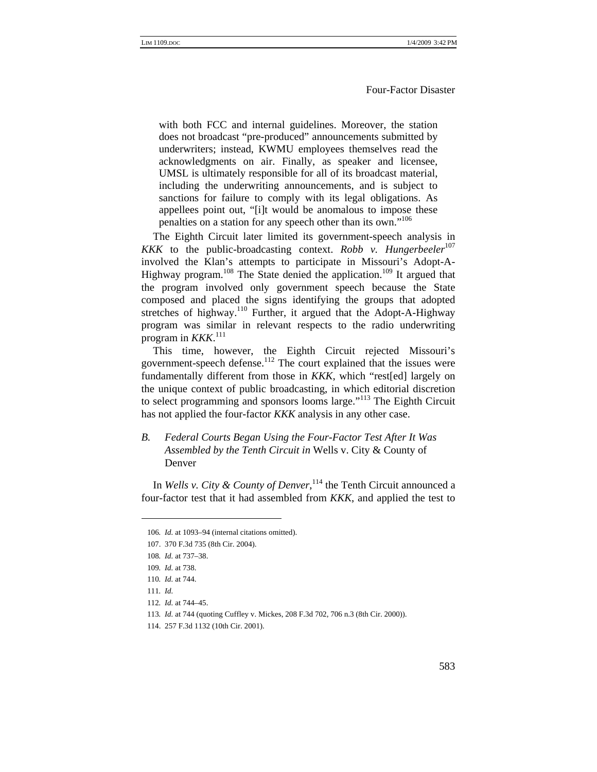with both FCC and internal guidelines. Moreover, the station does not broadcast "pre-produced" announcements submitted by underwriters; instead, KWMU employees themselves read the acknowledgments on air. Finally, as speaker and licensee, UMSL is ultimately responsible for all of its broadcast material, including the underwriting announcements, and is subject to sanctions for failure to comply with its legal obligations. As appellees point out, "[i]t would be anomalous to impose these penalties on a station for any speech other than its own."<sup>106</sup>

The Eighth Circuit later limited its government-speech analysis in *KKK* to the public-broadcasting context. *Robb v. Hungerbeeler*<sup>107</sup> involved the Klan's attempts to participate in Missouri's Adopt-A-Highway program.<sup>108</sup> The State denied the application.<sup>109</sup> It argued that the program involved only government speech because the State composed and placed the signs identifying the groups that adopted stretches of highway.<sup>110</sup> Further, it argued that the Adopt-A-Highway program was similar in relevant respects to the radio underwriting program in *KKK*. 111

This time, however, the Eighth Circuit rejected Missouri's government-speech defense.112 The court explained that the issues were fundamentally different from those in *KKK*, which "rest[ed] largely on the unique context of public broadcasting, in which editorial discretion to select programming and sponsors looms large."<sup>113</sup> The Eighth Circuit has not applied the four-factor *KKK* analysis in any other case.

*B. Federal Courts Began Using the Four-Factor Test After It Was Assembled by the Tenth Circuit in* Wells v. City & County of Denver

In *Wells v. City & County of Denver*, 114 the Tenth Circuit announced a four-factor test that it had assembled from *KKK*, and applied the test to

<sup>106</sup>*. Id.* at 1093–94 (internal citations omitted).

<sup>107. 370</sup> F.3d 735 (8th Cir. 2004).

<sup>108</sup>*. Id.* at 737–38.

<sup>109</sup>*. Id.* at 738.

<sup>110</sup>*. Id.* at 744.

<sup>111</sup>*. Id.*

<sup>112</sup>*. Id.* at 744–45.

<sup>113</sup>*. Id.* at 744 (quoting Cuffley v. Mickes, 208 F.3d 702, 706 n.3 (8th Cir. 2000)).

<sup>114. 257</sup> F.3d 1132 (10th Cir. 2001).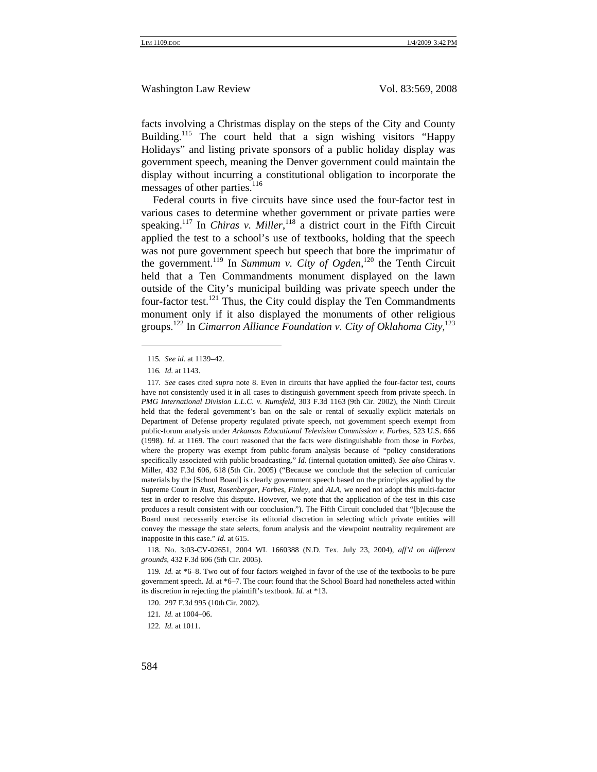facts involving a Christmas display on the steps of the City and County Building.<sup>115</sup> The court held that a sign wishing visitors "Happy" Holidays" and listing private sponsors of a public holiday display was government speech, meaning the Denver government could maintain the display without incurring a constitutional obligation to incorporate the messages of other parties.<sup>116</sup>

Federal courts in five circuits have since used the four-factor test in various cases to determine whether government or private parties were speaking.<sup>117</sup> In *Chiras v. Miller*,<sup>118</sup> a district court in the Fifth Circuit applied the test to a school's use of textbooks, holding that the speech was not pure government speech but speech that bore the imprimatur of the government.<sup>119</sup> In *Summum v. City of Ogden*,<sup>120</sup> the Tenth Circuit held that a Ten Commandments monument displayed on the lawn outside of the City's municipal building was private speech under the four-factor test.<sup>121</sup> Thus, the City could display the Ten Commandments monument only if it also displayed the monuments of other religious groups.122 In *Cimarron Alliance Foundation v. City of Oklahoma City,*<sup>123</sup>

<sup>115</sup>*. See id.* at 1139–42.

<sup>116</sup>*. Id.* at 1143.

<sup>117</sup>*. See* cases cited *supra* note 8. Even in circuits that have applied the four-factor test, courts have not consistently used it in all cases to distinguish government speech from private speech. In *PMG International Division L.L.C. v. Rumsfeld*, 303 F.3d 1163 (9th Cir. 2002), the Ninth Circuit held that the federal government's ban on the sale or rental of sexually explicit materials on Department of Defense property regulated private speech, not government speech exempt from public-forum analysis under *Arkansas Educational Television Commission v. Forbes*, 523 U.S. 666 (1998). *Id.* at 1169. The court reasoned that the facts were distinguishable from those in *Forbes*, where the property was exempt from public-forum analysis because of "policy considerations specifically associated with public broadcasting." *Id.* (internal quotation omitted). *See also* Chiras v. Miller, 432 F.3d 606, 618 (5th Cir. 2005) ("Because we conclude that the selection of curricular materials by the [School Board] is clearly government speech based on the principles applied by the Supreme Court in *Rust, Rosenberger*, *Forbes*, *Finley,* and *ALA*, we need not adopt this multi-factor test in order to resolve this dispute. However, we note that the application of the test in this case produces a result consistent with our conclusion."). The Fifth Circuit concluded that "[b]ecause the Board must necessarily exercise its editorial discretion in selecting which private entities will convey the message the state selects, forum analysis and the viewpoint neutrality requirement are inapposite in this case." *Id.* at 615.

<sup>118.</sup> No. 3:03-CV-02651, 2004 WL 1660388 (N.D. Tex. July 23, 2004), *aff'd on different grounds*, 432 F.3d 606 (5th Cir. 2005).

<sup>119</sup>*. Id.* at \*6–8. Two out of four factors weighed in favor of the use of the textbooks to be pure government speech. *Id.* at \*6–7. The court found that the School Board had nonetheless acted within its discretion in rejecting the plaintiff's textbook. *Id.* at \*13.

<sup>120. 297</sup> F.3d 995 (10thCir. 2002).

<sup>121</sup>*. Id.* at 1004–06.

<sup>122</sup>*. Id.* at 1011.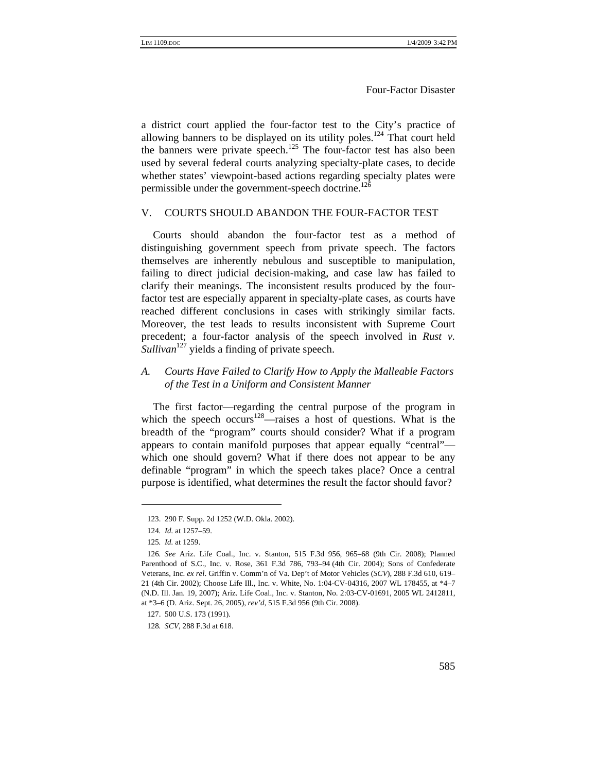a district court applied the four-factor test to the City's practice of allowing banners to be displayed on its utility poles.<sup>124</sup> That court held the banners were private speech.<sup>125</sup> The four-factor test has also been used by several federal courts analyzing specialty-plate cases, to decide whether states' viewpoint-based actions regarding specialty plates were permissible under the government-speech doctrine.<sup>126</sup>

#### V. COURTS SHOULD ABANDON THE FOUR-FACTOR TEST

Courts should abandon the four-factor test as a method of distinguishing government speech from private speech. The factors themselves are inherently nebulous and susceptible to manipulation, failing to direct judicial decision-making, and case law has failed to clarify their meanings. The inconsistent results produced by the fourfactor test are especially apparent in specialty-plate cases, as courts have reached different conclusions in cases with strikingly similar facts. Moreover, the test leads to results inconsistent with Supreme Court precedent; a four-factor analysis of the speech involved in *Rust v. Sullivan*<sup>127</sup> yields a finding of private speech.

#### *A. Courts Have Failed to Clarify How to Apply the Malleable Factors of the Test in a Uniform and Consistent Manner*

The first factor—regarding the central purpose of the program in which the speech occurs<sup>128</sup>—raises a host of questions. What is the breadth of the "program" courts should consider? What if a program appears to contain manifold purposes that appear equally "central" which one should govern? What if there does not appear to be any definable "program" in which the speech takes place? Once a central purpose is identified, what determines the result the factor should favor?

<sup>123. 290</sup> F. Supp. 2d 1252 (W.D. Okla. 2002).

<sup>124</sup>*. Id.* at 1257–59.

<sup>125</sup>*. Id.* at 1259.

<sup>126</sup>*. See* Ariz. Life Coal., Inc. v. Stanton, 515 F.3d 956, 965–68 (9th Cir. 2008); Planned Parenthood of S.C., Inc. v. Rose, 361 F.3d 786, 793–94 (4th Cir. 2004); Sons of Confederate Veterans, Inc. *ex rel*. Griffin v. Comm'n of Va. Dep't of Motor Vehicles (*SCV*), 288 F.3d 610, 619– 21 (4th Cir. 2002); Choose Life Ill., Inc. v. White, No. 1:04-CV-04316, 2007 WL 178455, at \*4–7 (N.D. Ill. Jan. 19, 2007); Ariz. Life Coal., Inc. v. Stanton, No. 2:03-CV-01691, 2005 WL 2412811, at \*3–6 (D. Ariz. Sept. 26, 2005), *rev'd*, 515 F.3d 956 (9th Cir. 2008).

<sup>127. 500</sup> U.S. 173 (1991).

<sup>128</sup>*. SCV*, 288 F.3d at 618.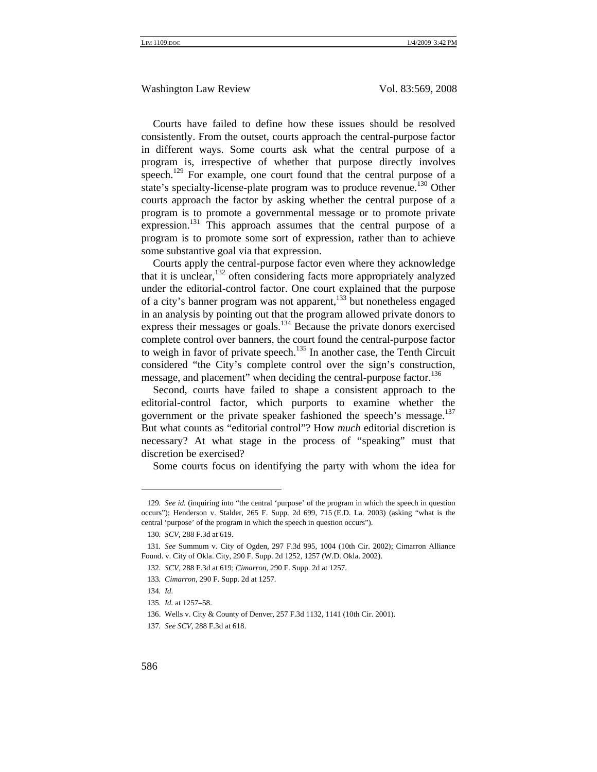Courts have failed to define how these issues should be resolved consistently. From the outset, courts approach the central-purpose factor in different ways. Some courts ask what the central purpose of a program is, irrespective of whether that purpose directly involves speech.<sup>129</sup> For example, one court found that the central purpose of a state's specialty-license-plate program was to produce revenue.<sup>130</sup> Other courts approach the factor by asking whether the central purpose of a program is to promote a governmental message or to promote private expression.<sup>131</sup> This approach assumes that the central purpose of a program is to promote some sort of expression, rather than to achieve some substantive goal via that expression.

Courts apply the central-purpose factor even where they acknowledge that it is unclear,  $132$  often considering facts more appropriately analyzed under the editorial-control factor. One court explained that the purpose of a city's banner program was not apparent,<sup>133</sup> but nonetheless engaged in an analysis by pointing out that the program allowed private donors to express their messages or goals.<sup>134</sup> Because the private donors exercised complete control over banners, the court found the central-purpose factor to weigh in favor of private speech.<sup>135</sup> In another case, the Tenth Circuit considered "the City's complete control over the sign's construction, message, and placement" when deciding the central-purpose factor.<sup>136</sup>

Second, courts have failed to shape a consistent approach to the editorial-control factor, which purports to examine whether the government or the private speaker fashioned the speech's message. $137$ But what counts as "editorial control"? How *much* editorial discretion is necessary? At what stage in the process of "speaking" must that discretion be exercised?

Some courts focus on identifying the party with whom the idea for

<sup>129</sup>*. See id.* (inquiring into "the central 'purpose' of the program in which the speech in question occurs"); Henderson v. Stalder, 265 F. Supp. 2d 699, 715 (E.D. La. 2003) (asking "what is the central 'purpose' of the program in which the speech in question occurs").

<sup>130</sup>*. SCV*, 288 F.3d at 619.

<sup>131</sup>*. See* Summum v. City of Ogden, 297 F.3d 995, 1004 (10th Cir. 2002); Cimarron Alliance Found. v. City of Okla. City, 290 F. Supp. 2d 1252, 1257 (W.D. Okla. 2002).

<sup>132</sup>*. SCV*, 288 F.3d at 619; *Cimarron*, 290 F. Supp. 2d at 1257.

<sup>133</sup>*. Cimarron*, 290 F. Supp. 2d at 1257.

<sup>134</sup>*. Id.*

<sup>135</sup>*. Id.* at 1257–58.

<sup>136.</sup> Wells v. City & County of Denver*,* 257 F.3d 1132, 1141 (10th Cir. 2001).

<sup>137</sup>*. See SCV*, 288 F.3d at 618.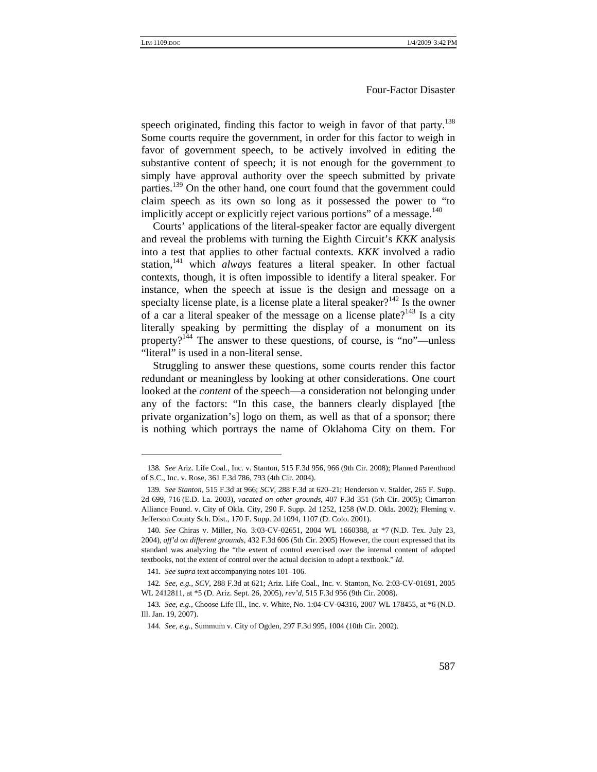speech originated, finding this factor to weigh in favor of that party.<sup>138</sup> Some courts require the government, in order for this factor to weigh in favor of government speech, to be actively involved in editing the substantive content of speech; it is not enough for the government to simply have approval authority over the speech submitted by private parties.<sup>139</sup> On the other hand, one court found that the government could claim speech as its own so long as it possessed the power to "to implicitly accept or explicitly reject various portions" of a message. $140$ 

Courts' applications of the literal-speaker factor are equally divergent and reveal the problems with turning the Eighth Circuit's *KKK* analysis into a test that applies to other factual contexts. *KKK* involved a radio station,<sup>141</sup> which *always* features a literal speaker. In other factual contexts, though, it is often impossible to identify a literal speaker. For instance, when the speech at issue is the design and message on a specialty license plate, is a license plate a literal speaker?<sup>142</sup> Is the owner of a car a literal speaker of the message on a license plate?<sup>143</sup> Is a city literally speaking by permitting the display of a monument on its property?<sup>144</sup> The answer to these questions, of course, is "no"—unless "literal" is used in a non-literal sense.

Struggling to answer these questions, some courts render this factor redundant or meaningless by looking at other considerations. One court looked at the *content* of the speech—a consideration not belonging under any of the factors: "In this case, the banners clearly displayed [the private organization's] logo on them, as well as that of a sponsor; there is nothing which portrays the name of Oklahoma City on them. For

<sup>138</sup>*. See* Ariz. Life Coal., Inc. v. Stanton, 515 F.3d 956, 966 (9th Cir. 2008); Planned Parenthood of S.C., Inc. v. Rose, 361 F.3d 786, 793 (4th Cir. 2004).

<sup>139</sup>*. See Stanton*, 515 F.3d at 966; *SCV*, 288 F.3d at 620–21; Henderson v. Stalder, 265 F. Supp. 2d 699, 716 (E.D. La. 2003), *vacated on other grounds*, 407 F.3d 351 (5th Cir. 2005); Cimarron Alliance Found. v. City of Okla. City, 290 F. Supp. 2d 1252, 1258 (W.D. Okla. 2002); Fleming v. Jefferson County Sch. Dist., 170 F. Supp. 2d 1094, 1107 (D. Colo. 2001).

<sup>140</sup>*. See* Chiras v. Miller, No. 3:03-CV-02651, 2004 WL 1660388, at \*7 (N.D. Tex. July 23, 2004), *aff'd on different grounds*, 432 F.3d 606 (5th Cir. 2005) However, the court expressed that its standard was analyzing the "the extent of control exercised over the internal content of adopted textbooks, not the extent of control over the actual decision to adopt a textbook." *Id*.

<sup>141</sup>*. See supra* text accompanying notes 101–106.

<sup>142</sup>*. See, e.g.*, *SCV*, 288 F.3d at 621; Ariz. Life Coal., Inc. v. Stanton, No. 2:03-CV-01691, 2005 WL 2412811, at \*5 (D. Ariz. Sept. 26, 2005), *rev'd*, 515 F.3d 956 (9th Cir. 2008).

<sup>143</sup>*. See, e.g.*, Choose Life Ill., Inc. v. White, No. 1:04-CV-04316, 2007 WL 178455, at \*6 (N.D. Ill. Jan. 19, 2007).

<sup>144</sup>*. See, e.g.*, Summum v. City of Ogden, 297 F.3d 995, 1004 (10th Cir. 2002).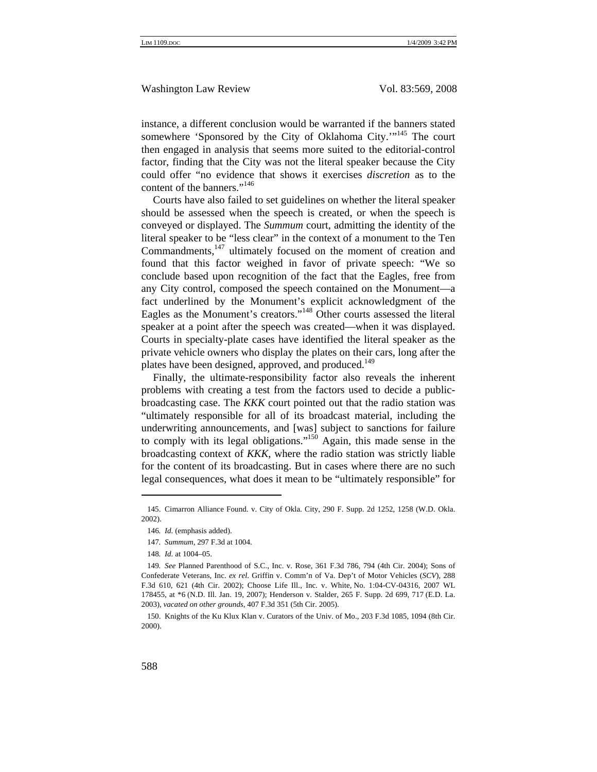instance, a different conclusion would be warranted if the banners stated somewhere 'Sponsored by the City of Oklahoma City.'"<sup>145</sup> The court then engaged in analysis that seems more suited to the editorial-control factor, finding that the City was not the literal speaker because the City could offer "no evidence that shows it exercises *discretion* as to the content of the banners."<sup>146</sup>

Courts have also failed to set guidelines on whether the literal speaker should be assessed when the speech is created, or when the speech is conveyed or displayed. The *Summum* court, admitting the identity of the literal speaker to be "less clear" in the context of a monument to the Ten Commandments,<sup>147</sup> ultimately focused on the moment of creation and found that this factor weighed in favor of private speech: "We so conclude based upon recognition of the fact that the Eagles, free from any City control, composed the speech contained on the Monument—a fact underlined by the Monument's explicit acknowledgment of the Eagles as the Monument's creators."148 Other courts assessed the literal speaker at a point after the speech was created—when it was displayed. Courts in specialty-plate cases have identified the literal speaker as the private vehicle owners who display the plates on their cars, long after the plates have been designed, approved, and produced.<sup>149</sup>

Finally, the ultimate-responsibility factor also reveals the inherent problems with creating a test from the factors used to decide a publicbroadcasting case. The *KKK* court pointed out that the radio station was "ultimately responsible for all of its broadcast material, including the underwriting announcements, and [was] subject to sanctions for failure to comply with its legal obligations."150 Again, this made sense in the broadcasting context of *KKK*, where the radio station was strictly liable for the content of its broadcasting. But in cases where there are no such legal consequences, what does it mean to be "ultimately responsible" for

<sup>145.</sup> Cimarron Alliance Found. v. City of Okla. City, 290 F. Supp. 2d 1252, 1258 (W.D. Okla. 2002).

<sup>146</sup>*. Id.* (emphasis added).

<sup>147</sup>*. Summum*, 297 F.3d at 1004.

<sup>148</sup>*. Id.* at 1004–05.

<sup>149</sup>*. See* Planned Parenthood of S.C., Inc. v. Rose, 361 F.3d 786, 794 (4th Cir. 2004); Sons of Confederate Veterans, Inc. *ex rel*. Griffin v. Comm'n of Va. Dep't of Motor Vehicles (*SCV*), 288 F.3d 610, 621 (4th Cir. 2002); Choose Life Ill., Inc. v. White, No. 1:04-CV-04316, 2007 WL 178455, at \*6 (N.D. Ill. Jan. 19, 2007); Henderson v. Stalder, 265 F. Supp. 2d 699, 717 (E.D. La. 2003), *vacated on other grounds*, 407 F.3d 351 (5th Cir. 2005).

<sup>150.</sup> Knights of the Ku Klux Klan v. Curators of the Univ. of Mo., 203 F.3d 1085, 1094 (8th Cir. 2000).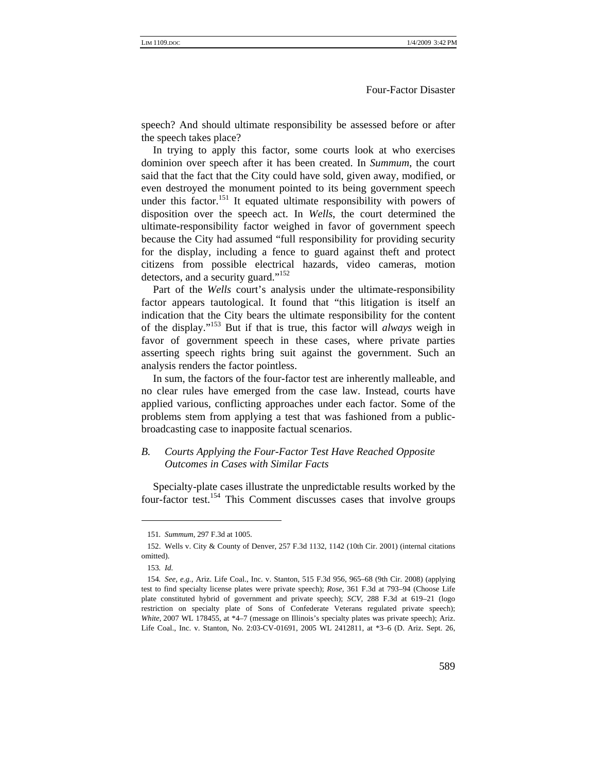speech? And should ultimate responsibility be assessed before or after the speech takes place?

In trying to apply this factor, some courts look at who exercises dominion over speech after it has been created. In *Summum*, the court said that the fact that the City could have sold, given away, modified, or even destroyed the monument pointed to its being government speech under this factor.<sup>151</sup> It equated ultimate responsibility with powers of disposition over the speech act. In *Wells*, the court determined the ultimate-responsibility factor weighed in favor of government speech because the City had assumed "full responsibility for providing security for the display, including a fence to guard against theft and protect citizens from possible electrical hazards, video cameras, motion detectors, and a security guard."<sup>152</sup>

Part of the *Wells* court's analysis under the ultimate-responsibility factor appears tautological. It found that "this litigation is itself an indication that the City bears the ultimate responsibility for the content of the display."153 But if that is true, this factor will *always* weigh in favor of government speech in these cases, where private parties asserting speech rights bring suit against the government. Such an analysis renders the factor pointless.

In sum, the factors of the four-factor test are inherently malleable, and no clear rules have emerged from the case law. Instead, courts have applied various, conflicting approaches under each factor. Some of the problems stem from applying a test that was fashioned from a publicbroadcasting case to inapposite factual scenarios.

#### *B. Courts Applying the Four-Factor Test Have Reached Opposite Outcomes in Cases with Similar Facts*

Specialty-plate cases illustrate the unpredictable results worked by the four-factor test.154 This Comment discusses cases that involve groups

<sup>151</sup>*. Summum*, 297 F.3d at 1005.

<sup>152.</sup> Wells v. City & County of Denver, 257 F.3d 1132, 1142 (10th Cir. 2001) (internal citations omitted).

<sup>153</sup>*. Id.*

<sup>154</sup>*. See, e.g.*, Ariz. Life Coal., Inc. v. Stanton, 515 F.3d 956, 965–68 (9th Cir. 2008) (applying test to find specialty license plates were private speech); *Rose*, 361 F.3d at 793–94 (Choose Life plate constituted hybrid of government and private speech); *SCV*, 288 F.3d at 619–21 (logo restriction on specialty plate of Sons of Confederate Veterans regulated private speech); *White*, 2007 WL 178455, at \*4–7 (message on Illinois's specialty plates was private speech); Ariz. Life Coal., Inc. v. Stanton, No. 2:03-CV-01691, 2005 WL 2412811, at \*3–6 (D. Ariz. Sept. 26,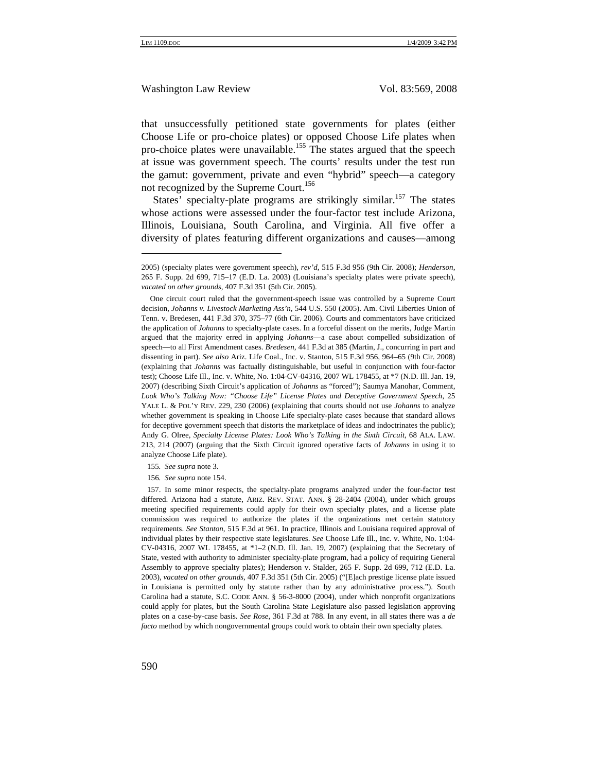that unsuccessfully petitioned state governments for plates (either Choose Life or pro-choice plates) or opposed Choose Life plates when pro-choice plates were unavailable.<sup>155</sup> The states argued that the speech at issue was government speech. The courts' results under the test run the gamut: government, private and even "hybrid" speech—a category not recognized by the Supreme Court.<sup>156</sup>

States' specialty-plate programs are strikingly similar.<sup>157</sup> The states whose actions were assessed under the four-factor test include Arizona, Illinois, Louisiana, South Carolina, and Virginia. All five offer a diversity of plates featuring different organizations and causes—among

155*. See supra* note 3.

156*. See supra* note 154.

<sup>2005) (</sup>specialty plates were government speech), *rev'd*, 515 F.3d 956 (9th Cir. 2008); *Henderson*, 265 F. Supp. 2d 699, 715–17 (E.D. La. 2003) (Louisiana's specialty plates were private speech), *vacated on other grounds*, 407 F.3d 351 (5th Cir. 2005).

One circuit court ruled that the government-speech issue was controlled by a Supreme Court decision, *Johanns v. Livestock Marketing Ass'n*, 544 U.S. 550 (2005). Am. Civil Liberties Union of Tenn. v. Bredesen, 441 F.3d 370, 375–77 (6th Cir. 2006). Courts and commentators have criticized the application of *Johanns* to specialty-plate cases. In a forceful dissent on the merits, Judge Martin argued that the majority erred in applying *Johanns*—a case about compelled subsidization of speech—to all First Amendment cases. *Bredesen*, 441 F.3d at 385 (Martin, J., concurring in part and dissenting in part). *See also* Ariz. Life Coal., Inc. v. Stanton, 515 F.3d 956, 964–65 (9th Cir. 2008) (explaining that *Johanns* was factually distinguishable, but useful in conjunction with four-factor test); Choose Life Ill., Inc. v. White, No. 1:04-CV-04316, 2007 WL 178455, at \*7 (N.D. Ill. Jan. 19, 2007) (describing Sixth Circuit's application of *Johanns* as "forced"); Saumya Manohar, Comment, *Look Who's Talking Now: "Choose Life" License Plates and Deceptive Government Speech*, 25 YALE L. & POL'Y REV. 229, 230 (2006) (explaining that courts should not use *Johanns* to analyze whether government is speaking in Choose Life specialty-plate cases because that standard allows for deceptive government speech that distorts the marketplace of ideas and indoctrinates the public); Andy G. Olree, *Specialty License Plates: Look Who's Talking in the Sixth Circuit*, 68 ALA. LAW. 213, 214 (2007) (arguing that the Sixth Circuit ignored operative facts of *Johanns* in using it to analyze Choose Life plate).

<sup>157.</sup> In some minor respects, the specialty-plate programs analyzed under the four-factor test differed. Arizona had a statute, ARIZ. REV. STAT. ANN. § 28-2404 (2004), under which groups meeting specified requirements could apply for their own specialty plates, and a license plate commission was required to authorize the plates if the organizations met certain statutory requirements. *See Stanton*, 515 F.3d at 961. In practice, Illinois and Louisiana required approval of individual plates by their respective state legislatures. *See* Choose Life Ill., Inc. v. White, No. 1:04- CV-04316, 2007 WL 178455, at \*1–2 (N.D. Ill. Jan. 19, 2007) (explaining that the Secretary of State, vested with authority to administer specialty-plate program, had a policy of requiring General Assembly to approve specialty plates); Henderson v. Stalder, 265 F. Supp. 2d 699, 712 (E.D. La. 2003), *vacated on other grounds*, 407 F.3d 351 (5th Cir. 2005) ("[E]ach prestige license plate issued in Louisiana is permitted only by statute rather than by any administrative process."). South Carolina had a statute, S.C. CODE ANN. § 56-3-8000 (2004), under which nonprofit organizations could apply for plates, but the South Carolina State Legislature also passed legislation approving plates on a case-by-case basis. *See Rose*, 361 F.3d at 788. In any event, in all states there was a *de facto* method by which nongovernmental groups could work to obtain their own specialty plates.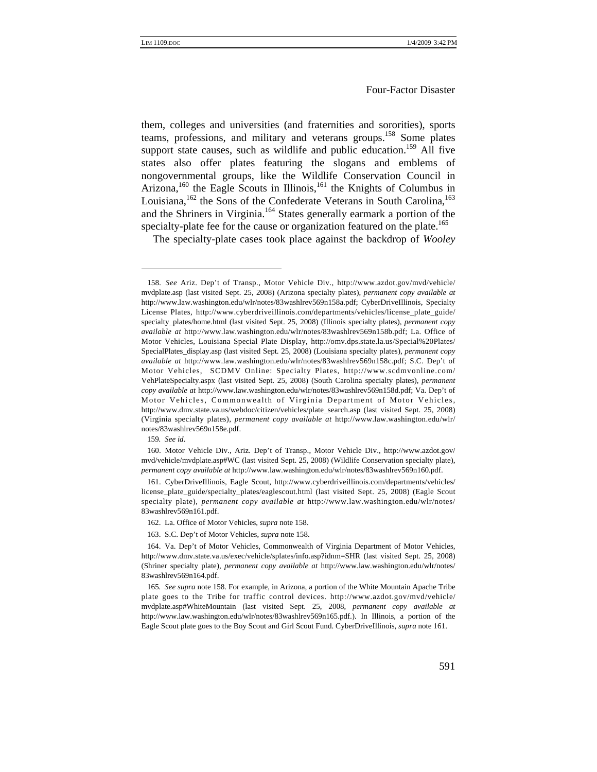them, colleges and universities (and fraternities and sororities), sports teams, professions, and military and veterans groups.<sup>158</sup> Some plates support state causes, such as wildlife and public education.<sup>159</sup> All five states also offer plates featuring the slogans and emblems of nongovernmental groups, like the Wildlife Conservation Council in Arizona,<sup>160</sup> the Eagle Scouts in Illinois,<sup>161</sup> the Knights of Columbus in Louisiana,  $^{162}$  the Sons of the Confederate Veterans in South Carolina,  $^{163}$ and the Shriners in Virginia.<sup>164</sup> States generally earmark a portion of the specialty-plate fee for the cause or organization featured on the plate.<sup>165</sup>

The specialty-plate cases took place against the backdrop of *Wooley* 

<sup>158</sup>*. See* Ariz. Dep't of Transp., Motor Vehicle Div., http://www.azdot.gov/mvd/vehicle/ mvdplate.asp (last visited Sept. 25, 2008) (Arizona specialty plates), *permanent copy available at*  http://www.law.washington.edu/wlr/notes/83washlrev569n158a.pdf; CyberDriveIllinois, Specialty License Plates, http://www.cyberdriveillinois.com/departments/vehicles/license\_plate\_guide/ specialty\_plates/home.html (last visited Sept. 25, 2008) (Illinois specialty plates), *permanent copy available at* http://www.law.washington.edu/wlr/notes/83washlrev569n158b.pdf; La. Office of Motor Vehicles, Louisiana Special Plate Display, http://omv.dps.state.la.us/Special%20Plates/ SpecialPlates\_display.asp (last visited Sept. 25, 2008) (Louisiana specialty plates), *permanent copy available at* http://www.law.washington.edu/wlr/notes/83washlrev569n158c.pdf; S.C. Dep't of Motor Vehicles, SCDMV Online: Specialty Plates, http://www.scdmvonline.com/ VehPlateSpecialty.aspx (last visited Sept. 25, 2008) (South Carolina specialty plates), *permanent copy available at* http://www.law.washington.edu/wlr/notes/83washlrev569n158d.pdf; Va. Dep't of Motor Vehicles, Commonwealth of Virginia Department of Motor Vehicles, http://www.dmv.state.va.us/webdoc/citizen/vehicles/plate\_search.asp (last visited Sept. 25, 2008) (Virginia specialty plates), *permanent copy available at* http://www.law.washington.edu/wlr/ notes/83washlrev569n158e.pdf.

<sup>159</sup>*. See id*.

<sup>160.</sup> Motor Vehicle Div., Ariz. Dep't of Transp., Motor Vehicle Div., http://www.azdot.gov/ mvd/vehicle/mvdplate.asp#WC (last visited Sept. 25, 2008) (Wildlife Conservation specialty plate), *permanent copy available at* http://www.law.washington.edu/wlr/notes/83washlrev569n160.pdf.

<sup>161.</sup> CyberDriveIllinois, Eagle Scout, http://www.cyberdriveillinois.com/departments/vehicles/ license\_plate\_guide/specialty\_plates/eaglescout.html (last visited Sept. 25, 2008) (Eagle Scout specialty plate), *permanent copy available at* http://www.law.washington.edu/wlr/notes/ 83washlrev569n161.pdf.

<sup>162.</sup> La. Office of Motor Vehicles, *supra* note 158.

<sup>163.</sup> S.C. Dep't of Motor Vehicles, *supra* note 158.

<sup>164.</sup> Va. Dep't of Motor Vehicles, Commonwealth of Virginia Department of Motor Vehicles, http://www.dmv.state.va.us/exec/vehicle/splates/info.asp?idnm=SHR (last visited Sept. 25, 2008) (Shriner specialty plate), *permanent copy available at* http://www.law.washington.edu/wlr/notes/ 83washlrev569n164.pdf.

<sup>165</sup>*. See supra* note 158. For example, in Arizona, a portion of the White Mountain Apache Tribe plate goes to the Tribe for traffic control devices. http://www.azdot.gov/mvd/vehicle/ mvdplate.asp#WhiteMountain (last visited Sept. 25, 2008, *permanent copy available at*  http://www.law.washington.edu/wlr/notes/83washlrev569n165.pdf.). In Illinois, a portion of the Eagle Scout plate goes to the Boy Scout and Girl Scout Fund. CyberDriveIllinois, *supra* note 161.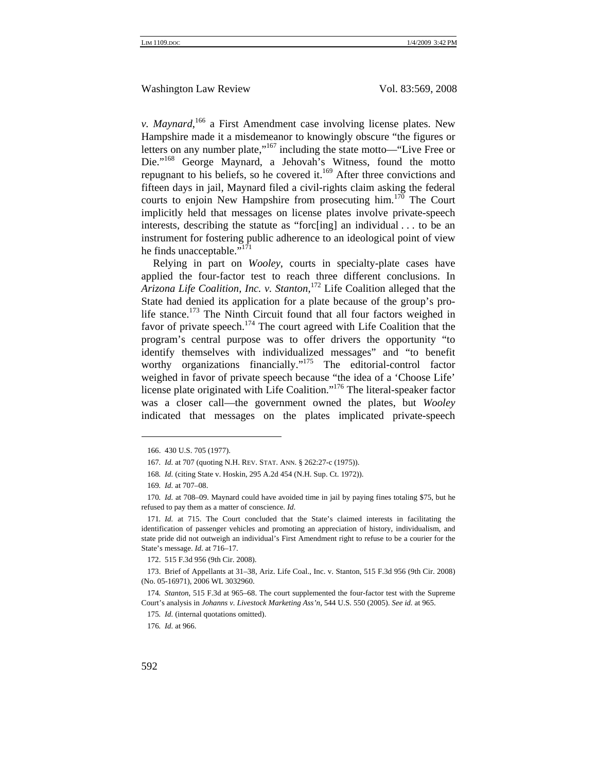*v. Maynard*, 166 a First Amendment case involving license plates. New Hampshire made it a misdemeanor to knowingly obscure "the figures or letters on any number plate," $167$  including the state motto—"Live Free or Die."<sup>168</sup> George Maynard, a Jehovah's Witness, found the motto repugnant to his beliefs, so he covered it.<sup>169</sup> After three convictions and fifteen days in jail, Maynard filed a civil-rights claim asking the federal courts to enjoin New Hampshire from prosecuting him.<sup>170</sup> The Court implicitly held that messages on license plates involve private-speech interests, describing the statute as "forc[ing] an individual . . . to be an instrument for fostering public adherence to an ideological point of view he finds unacceptable."<sup>171</sup>

Relying in part on *Wooley*, courts in specialty-plate cases have applied the four-factor test to reach three different conclusions. In *Arizona Life Coalition, Inc. v. Stanton*, 172 Life Coalition alleged that the State had denied its application for a plate because of the group's prolife stance.<sup>173</sup> The Ninth Circuit found that all four factors weighed in favor of private speech.<sup>174</sup> The court agreed with Life Coalition that the program's central purpose was to offer drivers the opportunity "to identify themselves with individualized messages" and "to benefit worthy organizations financially."<sup>175</sup> The editorial-control factor weighed in favor of private speech because "the idea of a 'Choose Life' license plate originated with Life Coalition."176 The literal-speaker factor was a closer call—the government owned the plates, but *Wooley*  indicated that messages on the plates implicated private-speech

<sup>166. 430</sup> U.S. 705 (1977).

<sup>167</sup>*. Id.* at 707 (quoting N.H. REV. STAT. ANN. § 262:27-c (1975)).

<sup>168</sup>*. Id.* (citing State v. Hoskin, 295 A.2d 454 (N.H. Sup. Ct. 1972)).

<sup>169</sup>*. Id.* at 707–08.

<sup>170</sup>*. Id.* at 708–09. Maynard could have avoided time in jail by paying fines totaling \$75, but he refused to pay them as a matter of conscience. *Id*.

<sup>171</sup>*. Id.* at 715. The Court concluded that the State's claimed interests in facilitating the identification of passenger vehicles and promoting an appreciation of history, individualism, and state pride did not outweigh an individual's First Amendment right to refuse to be a courier for the State's message. *Id.* at 716–17.

<sup>172. 515</sup> F.3d 956 (9th Cir. 2008).

<sup>173.</sup> Brief of Appellants at 31–38, Ariz. Life Coal., Inc. v. Stanton, 515 F.3d 956 (9th Cir. 2008) (No. 05-16971), 2006 WL 3032960.

<sup>174</sup>*. Stanton*, 515 F.3d at 965–68. The court supplemented the four-factor test with the Supreme Court's analysis in *Johanns v. Livestock Marketing Ass'n*, 544 U.S. 550 (2005). *See id.* at 965.

<sup>175</sup>*. Id.* (internal quotations omitted).

<sup>176</sup>*. Id.* at 966.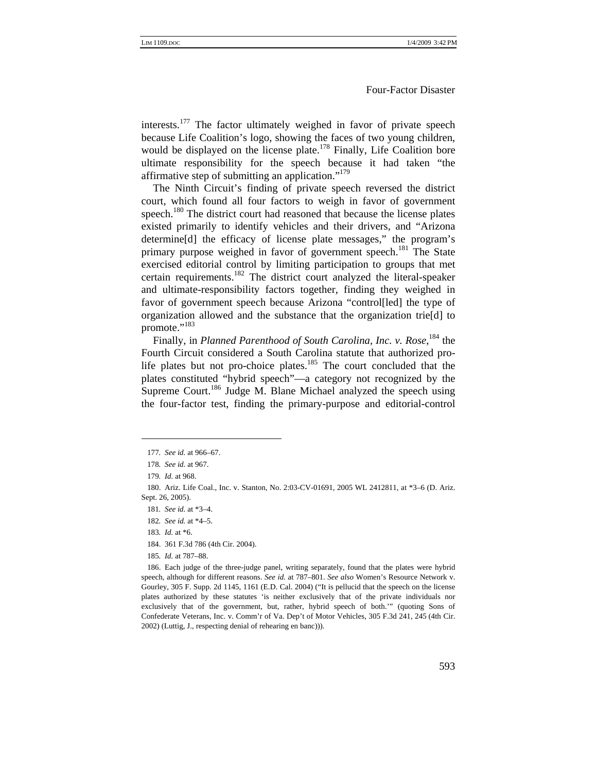interests.177 The factor ultimately weighed in favor of private speech because Life Coalition's logo, showing the faces of two young children, would be displayed on the license plate.<sup>178</sup> Finally, Life Coalition bore ultimate responsibility for the speech because it had taken "the affirmative step of submitting an application." $179$ 

The Ninth Circuit's finding of private speech reversed the district court, which found all four factors to weigh in favor of government speech.<sup>180</sup> The district court had reasoned that because the license plates existed primarily to identify vehicles and their drivers, and "Arizona determine[d] the efficacy of license plate messages," the program's primary purpose weighed in favor of government speech.<sup>181</sup> The State exercised editorial control by limiting participation to groups that met certain requirements.<sup>182</sup> The district court analyzed the literal-speaker and ultimate-responsibility factors together, finding they weighed in favor of government speech because Arizona "control[led] the type of organization allowed and the substance that the organization trie[d] to promote."<sup>183</sup>

Finally, in *Planned Parenthood of South Carolina, Inc. v. Rose*, <sup>184</sup> the Fourth Circuit considered a South Carolina statute that authorized prolife plates but not pro-choice plates.<sup>185</sup> The court concluded that the plates constituted "hybrid speech"—a category not recognized by the Supreme Court.<sup>186</sup> Judge M. Blane Michael analyzed the speech using the four-factor test, finding the primary-purpose and editorial-control

185*. Id.* at 787–88.

186. Each judge of the three-judge panel, writing separately, found that the plates were hybrid speech, although for different reasons. *See id.* at 787–801. *See also* Women's Resource Network v. Gourley, 305 F. Supp. 2d 1145, 1161 (E.D. Cal. 2004) ("It is pellucid that the speech on the license plates authorized by these statutes 'is neither exclusively that of the private individuals nor exclusively that of the government, but, rather, hybrid speech of both.'" (quoting Sons of Confederate Veterans, Inc. v. Comm'r of Va. Dep't of Motor Vehicles, 305 F.3d 241, 245 (4th Cir. 2002) (Luttig, J., respecting denial of rehearing en banc))).

<sup>177</sup>*. See id.* at 966–67.

<sup>178</sup>*. See id.* at 967.

<sup>179</sup>*. Id.* at 968.

<sup>180.</sup> Ariz. Life Coal., Inc. v. Stanton, No. 2:03-CV-01691, 2005 WL 2412811, at \*3–6 (D. Ariz. Sept. 26, 2005).

<sup>181</sup>*. See id.* at \*3–4.

<sup>182</sup>*. See id.* at \*4–5.

<sup>183</sup>*. Id.* at \*6.

<sup>184. 361</sup> F.3d 786 (4th Cir. 2004).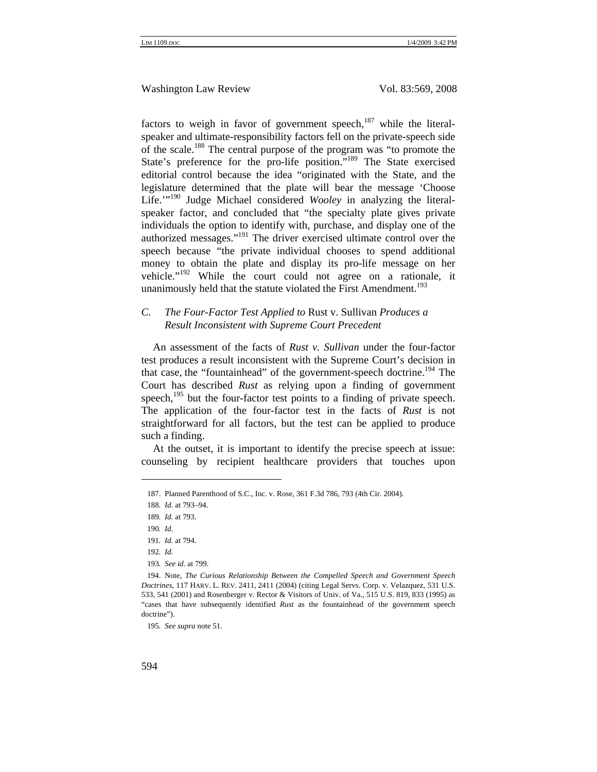factors to weigh in favor of government speech, $187$  while the literalspeaker and ultimate-responsibility factors fell on the private-speech side of the scale.188 The central purpose of the program was "to promote the State's preference for the pro-life position."<sup>189</sup> The State exercised editorial control because the idea "originated with the State, and the legislature determined that the plate will bear the message 'Choose Life.<sup>""190</sup> Judge Michael considered *Wooley* in analyzing the literalspeaker factor, and concluded that "the specialty plate gives private individuals the option to identify with, purchase, and display one of the authorized messages."191 The driver exercised ultimate control over the speech because "the private individual chooses to spend additional money to obtain the plate and display its pro-life message on her vehicle."192 While the court could not agree on a rationale, it unanimously held that the statute violated the First Amendment.<sup>193</sup>

#### *C. The Four-Factor Test Applied to* Rust v. Sullivan *Produces a Result Inconsistent with Supreme Court Precedent*

An assessment of the facts of *Rust v. Sullivan* under the four-factor test produces a result inconsistent with the Supreme Court's decision in that case, the "fountainhead" of the government-speech doctrine.<sup>194</sup> The Court has described *Rust* as relying upon a finding of government speech, $195$  but the four-factor test points to a finding of private speech. The application of the four-factor test in the facts of *Rust* is not straightforward for all factors, but the test can be applied to produce such a finding.

At the outset, it is important to identify the precise speech at issue: counseling by recipient healthcare providers that touches upon

195*. See supra* note 51.

<sup>187.</sup> Planned Parenthood of S.C., Inc. v. Rose, 361 F.3d 786, 793 (4th Cir. 2004).

<sup>188</sup>*. Id.* at 793–94.

<sup>189</sup>*. Id.* at 793.

<sup>190</sup>*. Id.*

<sup>191</sup>*. Id.* at 794.

<sup>192</sup>*. Id.*

<sup>193</sup>*. See id*. at 799.

<sup>194.</sup> Note, *The Curious Relationship Between the Compelled Speech and Government Speech Doctrines*, 117 HARV. L. REV. 2411, 2411 (2004) (citing Legal Servs. Corp. v. Velazquez, 531 U.S. 533, 541 (2001) and Rosenberger v. Rector & Visitors of Univ. of Va., 515 U.S. 819, 833 (1995) as "cases that have subsequently identified *Rust* as the fountainhead of the government speech doctrine").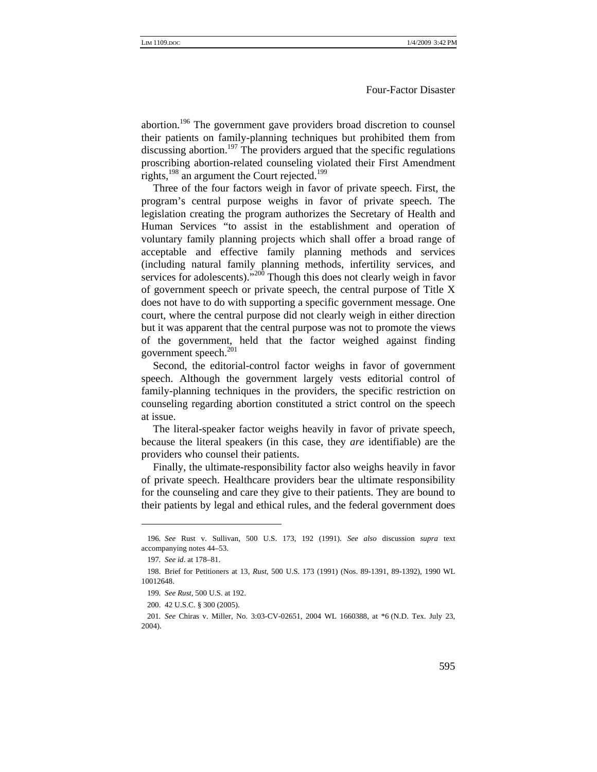abortion.196 The government gave providers broad discretion to counsel their patients on family-planning techniques but prohibited them from discussing abortion.<sup>197</sup> The providers argued that the specific regulations proscribing abortion-related counseling violated their First Amendment rights,  $198$  an argument the Court rejected.<sup>199</sup>

Three of the four factors weigh in favor of private speech. First, the program's central purpose weighs in favor of private speech. The legislation creating the program authorizes the Secretary of Health and Human Services "to assist in the establishment and operation of voluntary family planning projects which shall offer a broad range of acceptable and effective family planning methods and services (including natural family planning methods, infertility services, and services for adolescents)."<sup>200</sup> Though this does not clearly weigh in favor of government speech or private speech, the central purpose of Title X does not have to do with supporting a specific government message. One court, where the central purpose did not clearly weigh in either direction but it was apparent that the central purpose was not to promote the views of the government, held that the factor weighed against finding government speech.<sup>201</sup>

Second, the editorial-control factor weighs in favor of government speech. Although the government largely vests editorial control of family-planning techniques in the providers, the specific restriction on counseling regarding abortion constituted a strict control on the speech at issue.

The literal-speaker factor weighs heavily in favor of private speech, because the literal speakers (in this case, they *are* identifiable) are the providers who counsel their patients.

Finally, the ultimate-responsibility factor also weighs heavily in favor of private speech. Healthcare providers bear the ultimate responsibility for the counseling and care they give to their patients. They are bound to their patients by legal and ethical rules, and the federal government does

<sup>196</sup>*. See* Rust v. Sullivan, 500 U.S. 173, 192 (1991). *See also* discussion *supra* text accompanying notes 44–53.

<sup>197</sup>*. See id*. at 178–81.

<sup>198.</sup> Brief for Petitioners at 13, *Rust*, 500 U.S. 173 (1991) (Nos. 89-1391, 89-1392), 1990 WL 10012648.

<sup>199</sup>*. See Rust*, 500 U.S. at 192.

<sup>200. 42</sup> U.S.C. § 300 (2005).

<sup>201</sup>*. See* Chiras v. Miller, No. 3:03-CV-02651, 2004 WL 1660388, at \*6 (N.D. Tex. July 23, 2004).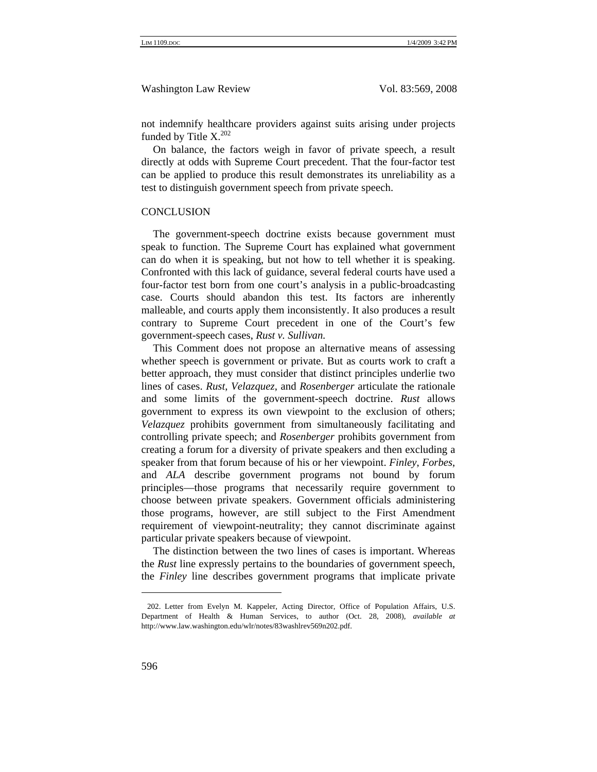not indemnify healthcare providers against suits arising under projects funded by Title  $X^{202}$ 

On balance, the factors weigh in favor of private speech, a result directly at odds with Supreme Court precedent. That the four-factor test can be applied to produce this result demonstrates its unreliability as a test to distinguish government speech from private speech.

#### **CONCLUSION**

The government-speech doctrine exists because government must speak to function. The Supreme Court has explained what government can do when it is speaking, but not how to tell whether it is speaking. Confronted with this lack of guidance, several federal courts have used a four-factor test born from one court's analysis in a public-broadcasting case. Courts should abandon this test. Its factors are inherently malleable, and courts apply them inconsistently. It also produces a result contrary to Supreme Court precedent in one of the Court's few government-speech cases, *Rust v. Sullivan.* 

This Comment does not propose an alternative means of assessing whether speech is government or private. But as courts work to craft a better approach, they must consider that distinct principles underlie two lines of cases. *Rust*, *Velazquez*, and *Rosenberger* articulate the rationale and some limits of the government-speech doctrine. *Rust* allows government to express its own viewpoint to the exclusion of others; *Velazquez* prohibits government from simultaneously facilitating and controlling private speech; and *Rosenberger* prohibits government from creating a forum for a diversity of private speakers and then excluding a speaker from that forum because of his or her viewpoint. *Finley*, *Forbes*, and *ALA* describe government programs not bound by forum principles—those programs that necessarily require government to choose between private speakers. Government officials administering those programs, however, are still subject to the First Amendment requirement of viewpoint-neutrality; they cannot discriminate against particular private speakers because of viewpoint.

The distinction between the two lines of cases is important. Whereas the *Rust* line expressly pertains to the boundaries of government speech, the *Finley* line describes government programs that implicate private

<sup>202.</sup> Letter from Evelyn M. Kappeler, Acting Director, Office of Population Affairs, U.S. Department of Health & Human Services, to author (Oct. 28, 2008), *available at* http://www.law.washington.edu/wlr/notes/83washlrev569n202.pdf.